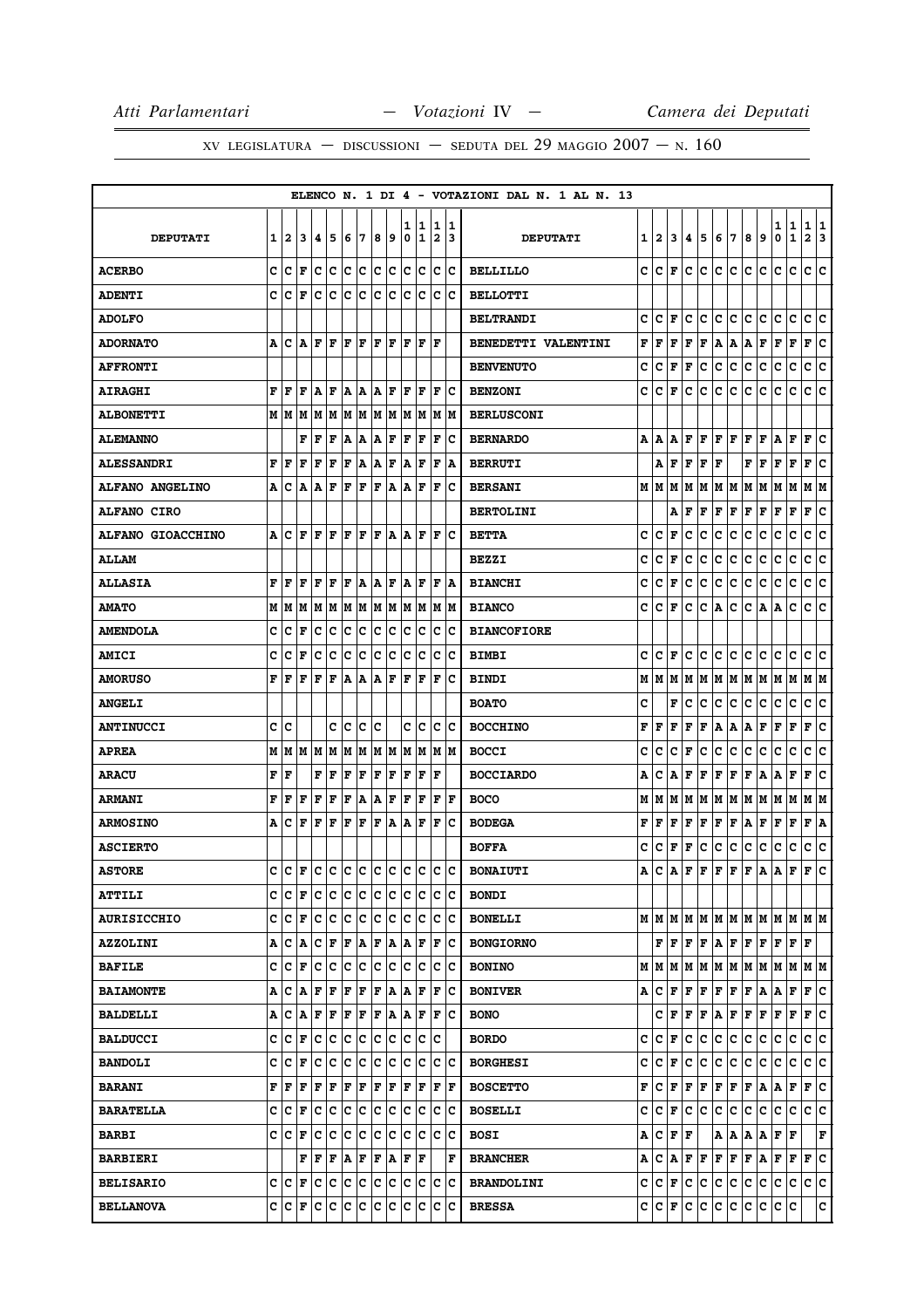|                          |   |       |                                |         |                 |                       |     |         |     |                      |        |                              |             | ELENCO N. 1 DI 4 - VOTAZIONI DAL N. 1 AL N. 13 |    |                      |                      |              |     |              |                         |       |     |                      |                   |                                                                       |
|--------------------------|---|-------|--------------------------------|---------|-----------------|-----------------------|-----|---------|-----|----------------------|--------|------------------------------|-------------|------------------------------------------------|----|----------------------|----------------------|--------------|-----|--------------|-------------------------|-------|-----|----------------------|-------------------|-----------------------------------------------------------------------|
| <b>DEPUTATI</b>          | 1 | 12    | 3                              | 14.     | 5               | 16                    | 7   | 8       | و ا | ı<br>0               | 1<br>1 | 1<br>$\overline{\mathbf{2}}$ | 11<br>13    | <b>DEPUTATI</b>                                | 11 | 2                    | 3                    | 4            | 5   | 6            | 17                      | 8     | 9   | 1<br>0               | 1<br>$\mathbf{1}$ | 1<br>1<br>$\mathbf{2}$<br>3                                           |
| <b>ACERBO</b>            | c | c     | F                              | c c     |                 | c c                   |     | c c     |     | lc.                  | c      | c                            | Ιc          | <b>BELLILLO</b>                                | c  | C                    | F                    | c            | c   | c            | c                       | c     | c   | c                    | c                 | c<br>lc.                                                              |
| <b>ADENTI</b>            | C | Iс    | l F                            | с       | c               | Ιc                    | c   | Ιc      | c   | lc.                  | Ιc     | c                            | Ιc          | <b>BELLOTTI</b>                                |    |                      |                      |              |     |              |                         |       |     |                      |                   |                                                                       |
| <b>ADOLFO</b>            |   |       |                                |         |                 |                       |     |         |     |                      |        |                              |             | <b>BELTRANDI</b>                               | c  | lc.                  | F                    | c            | c   | c            | c                       | c     | c   | с                    | c                 | ١c<br>c                                                               |
| <b>ADORNATO</b>          | А | ١c    |                                | A  F  F |                 | F                     | lF. | ١F      | ١F  | lF.                  | l F    | ΙF                           |             | <b>BENEDETTI VALENTINI</b>                     | F  | F                    | F                    | F            | F   | A            | A                       | A     | F   | F                    | F                 | ١c<br>F                                                               |
| <b>AFFRONTI</b>          |   |       |                                |         |                 |                       |     |         |     |                      |        |                              |             | <b>BENVENUTO</b>                               | c  | с                    | F                    | F            | c   | c            | c                       | c     | c   | c                    | c                 | c<br>c                                                                |
| <b>AIRAGHI</b>           | F | ١F    | F                              | ١A      | ١F              |                       |     | A A A F |     | F                    | l F    | F                            | Ιc          | <b>BENZONI</b>                                 | c  | c                    | F                    | c            | c   | c            | c                       | c     | c   | c                    | c                 | c c                                                                   |
| <b>ALBONETTI</b>         |   |       |                                |         |                 |                       |     |         |     |                      |        |                              | lм          | <b>BERLUSCONI</b>                              |    |                      |                      |              |     |              |                         |       |     |                      |                   |                                                                       |
| <b>ALEMANNO</b>          |   |       | F                              | F       | F               | A                     | ١A  | A F     |     | F                    | F      | F                            | ΙC          | <b>BERNARDO</b>                                |    | A   A                | A                    |              | F F | F F          |                         | F F   |     | A                    | F                 | F<br>ΙC                                                               |
| <b>ALESSANDRI</b>        | F | l F   | F                              | F       | F               | F                     | A   | ۱A.     | F   | A                    | ΙF     | ΙF                           | A           | <b>BERRUTI</b>                                 |    | А                    | F                    | F            | F   | F            |                         | F     | F   | F                    | F                 | F<br>c                                                                |
| <b>ALFANO ANGELINO</b>   |   |       | A C A A F                      |         |                 | F                     | F   | F       | A   | A F                  |        | F                            | Ιc          | <b>BERSANI</b>                                 |    | MM                   | M                    | M            |     | M   M   M    |                         | M M   |     | M M                  |                   | M  M                                                                  |
| <b>ALFANO CIRO</b>       |   |       |                                |         |                 |                       |     |         |     |                      |        |                              |             | <b>BERTOLINI</b>                               |    |                      | А                    | F            | F   | F            | F                       | г     | F   | г                    | F                 | c<br>Г                                                                |
| <b>ALFANO GIOACCHINO</b> |   | A  C  | ١F                             | ١F      | ΙF              | F                     | l F | F       | lA. | ١A                   | F      | F                            | ΙC          | <b>BETTA</b>                                   | c  | c                    | F                    | c            | c   | c            | c                       | c     | c   | c                    | c                 | с<br> c                                                               |
| <b>ALLAM</b>             |   |       |                                |         |                 |                       |     |         |     |                      |        |                              |             | <b>BEZZI</b>                                   | c  | с                    | F                    | c            | c   | c            | c                       | c     | c   | с                    | c                 | c<br>c                                                                |
| <b>ALLASIA</b>           | F | F     | F                              | F       | ΙF              | F                     | ١A  | Α       | F   | A                    | F      | F                            | A           | <b>BIANCHI</b>                                 | c  | c                    | F                    | c            | с   | с            | c                       | с     | c   | с                    | с                 | с<br>∣c                                                               |
| <b>AMATO</b>             |   |       | M   M   M                      |         | MM              | MM                    |     | M M     |     |                      | M M    | M  M                         |             | <b>BIANCO</b>                                  | c  | c                    | F                    | c            | c   | A            | c                       | C     | A   | A                    | с                 | lc.<br>c                                                              |
| <b>AMENDOLA</b>          | c | Iс    | l F                            | Iс      | c               | c                     | c   | c       | c   | c                    | c      | c                            | c           | <b>BIANCOFIORE</b>                             |    |                      |                      |              |     |              |                         |       |     |                      |                   |                                                                       |
| <b>AMICI</b>             | c | c     | l F                            | Iс      | lc              | lc.                   | lc. | lc      | lc  | C                    | Ιc     | c                            | Ιc          | <b>BIMBI</b>                                   | c  | lc.                  | F                    | c            | c   | c            | lc.                     | c     | c   | c                    | c                 | c<br>١c                                                               |
| <b>AMORUSO</b>           | F | l F   | l F                            | F       | F               | A                     | ١A  | A       | F   | F                    | F      | F                            | Ιc          | <b>BINDI</b>                                   | м  | lМ                   | M                    | М            | M   | M M          |                         | M   M |     | M M                  |                   | M  M                                                                  |
| <b>ANGELI</b>            |   |       |                                |         |                 |                       |     |         |     |                      |        |                              |             | <b>BOATO</b>                                   | c  |                      | F                    | c            | с   | c            | c                       | c     | c   | c                    | c                 | c<br>c                                                                |
| <b>ANTINUCCI</b>         |   | c  c  |                                |         |                 | c c                   | IC. | ١c      |     |                      | c  c   |                              | c c         | <b>BOCCHINO</b>                                | F  | F                    | F                    | F            | F   | A            | A                       | A     | F   | F                    | F                 | lc.<br>F                                                              |
| <b>APREA</b>             |   | MM    |                                | M M     | M               | M                     | M   | M M     |     | lм                   | M      | M                            | lМ          | <b>BOCCI</b>                                   | c  | c                    | c                    | F            | с   | с            | с                       | с     | c   | с                    | с                 | с<br>c                                                                |
| <b>ARACU</b>             | F | ١F    |                                | F       | F               | F                     | F   | F       | F   | F                    | F      | ΙF                           |             | <b>BOCCIARDO</b>                               | А  | c                    | Α                    | F            | F   | F            | F                       | F     | A   | A                    | F                 | F<br>∣c                                                               |
| <b>ARMANI</b>            | F | F     | F                              | F       | F               | F                     | A   | A       | F   | l F                  | F      | F                            | l F         | <b>BOCO</b>                                    | М  | М                    | М                    | М            | M   | M            | M                       | м     | M   | M                    | M                 | M   M                                                                 |
| <b>ARMOSINO</b>          |   | A   C | l F                            | lF.     | F               | F                     | F   | F       | A   | A                    | F      | F                            | Ιc          | <b>BODEGA</b>                                  | F  | F                    | F                    | F            | F   | F            | F                       | Α     | Г   | г                    | F                 | F<br>١A                                                               |
| <b>ASCIERTO</b>          |   |       |                                |         |                 |                       |     |         |     |                      |        |                              |             | <b>BOFFA</b>                                   | c  | c                    | F                    | F            | с   | $\mathbf{C}$ | c                       | c     | с   | с                    | $\mathbf C$       | c<br> c                                                               |
| <b>ASTORE</b>            | c | ١c    | F                              | lc.     | c               | c c                   |     | c c     |     | lc.                  | lc     | lc.                          | lc          | <b>BONAIUTI</b>                                | A  | c                    | A                    | F            | F   | F            | F                       | F     | A   | Α                    | $\mathbf F$       | lc.<br>F                                                              |
| <b>ATTILI</b>            |   |       | $ c c _F  c c c c c c c c c c$ |         |                 |                       |     |         |     |                      |        | c c                          |             | <b>BONDI</b>                                   |    |                      |                      |              |     |              |                         |       |     |                      |                   |                                                                       |
| <b>AURISICCHIO</b>       |   | c  c  | l F                            | Iс      | Ιc              | lc.                   | ١c  | Ιc      | Iс  | Iс                   | Ιc     | с                            | Ιc          | <b>BONELLI</b>                                 |    |                      |                      |              |     |              |                         |       |     |                      |                   | $M$   $M$   $M$   $M$   $M$   $M$   $M$   $M$   $M$   $M$   $M$   $M$ |
| <b>AZZOLINI</b>          |   |       | A C A                          | c       | F               | F A                   |     | F A     |     | A                    | F      | F                            | Ιc          | <b>BONGIORNO</b>                               |    |                      |                      |              |     |              | F F F F A F F F F F F F |       |     |                      |                   |                                                                       |
| <b>BAFILE</b>            |   | c  c  | lF.                            | lc      | c               | c                     | c   | lc      | lc. | lc.                  | Iс     | lc.                          | Iс          | <b>BONINO</b>                                  |    | M   M   M            |                      |              |     |              |                         |       |     |                      |                   | M  M  M  M  M  M  M  M  M  M                                          |
| <b>BAIAMONTE</b>         |   | ACA   |                                | F       | F               | F                     | F   | F       | ١A  | A F                  |        | F                            | ΙC          | <b>BONIVER</b>                                 |    | A   C                | F                    | $\mathbf{F}$ | F   | F F          |                         | F A   |     | A                    | F                 | F C                                                                   |
| <b>BALDELLI</b>          |   | A   C | A                              |         | $F$ $F$ $F$ $F$ |                       |     | F A     |     | $ {\bf A} $ F        |        | F                            | ١c          | <b>BONO</b>                                    |    |                      | C∣F                  | F F          |     | A F          |                         | F F   |     | F                    | F                 | F C                                                                   |
| <b>BALDUCCI</b>          |   | c  c  | l F                            | Iс      | ١c              | c                     | c   | lc.     | Iс  | lc.                  | Ιc     | lc.                          |             | <b>BORDO</b>                                   | c  | c                    | F                    | c            | lc. | $\mathbf c$  | c                       | c     | c   | c                    | c                 | c c                                                                   |
| <b>BANDOLI</b>           |   | C C F |                                |         | le le le le     |                       |     | c c     |     | c c                  |        |                              | lc Ic       | <b>BORGHESI</b>                                | c  | $ {\bf C}  {\bf F} $ |                      | c            | c   | c.           | c                       | ∣c∙   | lc. | С                    | c                 | c c                                                                   |
| <b>BARANI</b>            |   | F  F  | F                              | lF.     | F               | F                     | F   | F       | F   | lF.                  | F      | F                            | ١F          | <b>BOSCETTO</b>                                | F  | c                    | F                    | $\mathbf F$  | F   | F            | F                       | F     | A   | A                    | F                 | F C                                                                   |
| <b>BARATELLA</b>         |   | C C F |                                | c       | ∣c              | c                     | ∣c  | c       | ∣c  | lc.                  | c      | c                            | $ {\bf c} $ | <b>BOSELLI</b>                                 | c  | c.                   | F                    | lc.          | с   | c.           | c.                      | c.    | c   | c                    | lc.               | c c                                                                   |
| <b>BARBI</b>             |   | C C F |                                | Ιc      | Ιc              | lc.                   | ١c  | Ιc      | Iс  | lc.                  | Iс     | lc.                          | Iс          | <b>BOSI</b>                                    | Α  | с                    | $ {\bf F}  {\bf F} $ |              |     |              | A   A   A   A           |       |     | $ {\bf F}  {\bf F} $ |                   | F                                                                     |
| <b>BARBIERI</b>          |   |       | F                              | F       | ΙF              | $ {\bf A} $ ${\bf F}$ |     | F A     |     | $ {\bf F}  {\bf F} $ |        |                              | F           | <b>BRANCHER</b>                                | Α  |                      | $ C $ $A$            |              | F F | F F          |                         | F A   |     | F F                  |                   | F C                                                                   |
| <b>BELISARIO</b>         |   | C C F |                                | c c c c |                 |                       |     | c c     |     | IC.                  | Iс     | Iс                           | Ιc          | <b>BRANDOLINI</b>                              |    | C C F                |                      |              | c c | ∣c∙          | lc.                     | c.    | lc. | c                    | Iс                | c c                                                                   |
| <b>BELLANOVA</b>         |   | C C F |                                |         | c c c c c       |                       |     |         | Iс  | lc.                  | Iс     | lc.                          | lc          | <b>BRESSA</b>                                  |    | C C F                |                      | lc.          | lc. | c.           | lc.                     | c c   |     | IС                   | c                 | c                                                                     |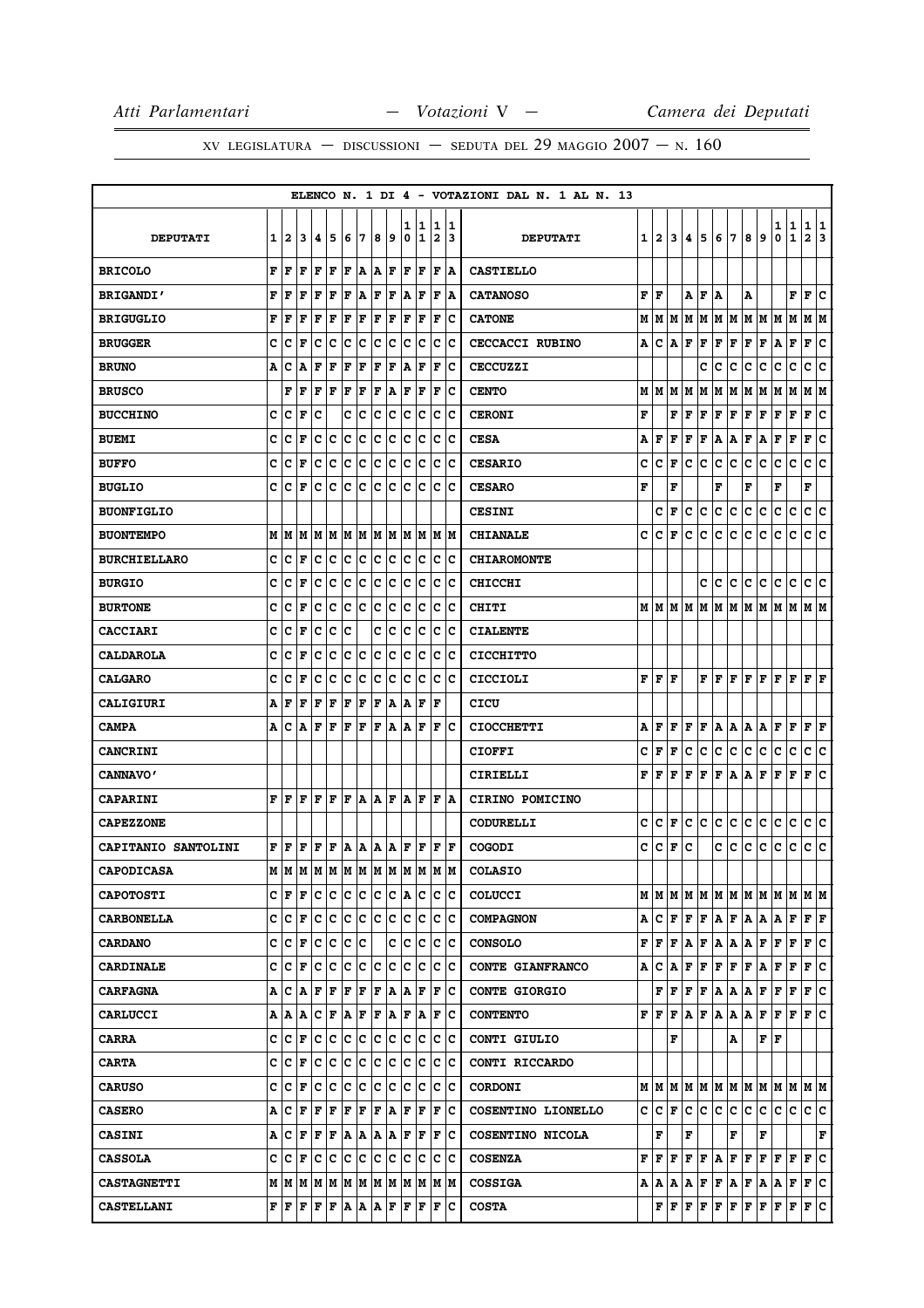|                     |   |         |                                                                                                                                                                                                |       |                                     |     |       |     |     |        |        |                                |             | ELENCO N. 1 DI 4 - VOTAZIONI DAL N. 1 AL N. 13 |   |                             |                     |               |                                   |                   |         |                         |               |                               |             |                      |         |
|---------------------|---|---------|------------------------------------------------------------------------------------------------------------------------------------------------------------------------------------------------|-------|-------------------------------------|-----|-------|-----|-----|--------|--------|--------------------------------|-------------|------------------------------------------------|---|-----------------------------|---------------------|---------------|-----------------------------------|-------------------|---------|-------------------------|---------------|-------------------------------|-------------|----------------------|---------|
| <b>DEPUTATI</b>     | 1 | 2       | 3                                                                                                                                                                                              | 14.   | 5                                   | 6   | 17    | 8   | 9   | ı<br>0 | 1<br>1 | $\mathbf{1}$<br>$\overline{2}$ | 11.<br>13   | <b>DEPUTATI</b>                                |   | $1\vert 2 \vert$            | 3                   | 4             | 5                                 | 6                 | 17      | 8                       | 9             | 1<br>0                        | 1<br>1      | 1<br>$\mathbf{2}$    | 1<br>13 |
| <b>BRICOLO</b>      | F | ١F      | l F                                                                                                                                                                                            | lF.   | F                                   | F   | ١A    | A F |     | F      | F      | F                              | ١A          | <b>CASTIELLO</b>                               |   |                             |                     |               |                                   |                   |         |                         |               |                               |             |                      |         |
| <b>BRIGANDI'</b>    | F | l F     | F                                                                                                                                                                                              | F     | l F                                 | ΙF  | A     | F   | F   | A      | ΙF     | F                              | A           | <b>CATANOSO</b>                                |   | F   F                       |                     | A             | F                                 | A                 |         | А                       |               |                               | F           | F                    | c       |
| <b>BRIGUGLIO</b>    | F | l F     | l F                                                                                                                                                                                            | F     | F                                   | F   | F     | F   | F   | l F    | F      | $\mathbf F$                    | Ιc          | <b>CATONE</b>                                  |   | MMM                         |                     |               |                                   | M   M   M   M     |         |                         | M   M   M     |                               | M           | M  M                 |         |
| <b>BRUGGER</b>      | c | C       | F                                                                                                                                                                                              | Iс    | Ιc                                  | Ιc  | Iс    | Ιc  | Iс  | Iс     | Iс     | Iс                             | Ιc          | <b>CECCACCI RUBINO</b>                         | A | с                           | A                   | F             | F                                 | $\mathbf F$       | F       | F                       | F             | A                             | F           | F                    | lc.     |
| <b>BRUNO</b>        | Α | c       | A                                                                                                                                                                                              | F     | l F                                 | F   | F     | ΙF  | F   | A      | ΙF     | F                              | Ιc          | <b>CECCUZZI</b>                                |   |                             |                     |               | c                                 | c                 | с       | с                       | c             | c                             | c           | c                    | lc.     |
| <b>BRUSCO</b>       |   | F       | F                                                                                                                                                                                              | F F   |                                     | F F |       | F A |     | F      | F      | F                              | Ιc          | <b>CENTO</b>                                   |   | MMM                         |                     | M             | M                                 | M                 | M       | M M                     |               | M M                           |             | M  M                 |         |
| <b>BUCCHINO</b>     | c | с       | F                                                                                                                                                                                              | Iс    |                                     | c   | Iс    | c   | с   | c      | Ιc     | с                              | Ιc          | <b>CERONI</b>                                  | F |                             | F                   | F             | F                                 | F                 | F       | F                       | F             | F                             | F           | F                    | ∣c      |
| <b>BUEMI</b>        | c | c       | F                                                                                                                                                                                              | c     | Iс                                  | c   | c     | c   | c   | c      | c      | c                              | lc          | <b>CESA</b>                                    | А | F                           | F                   | F             | F                                 | Α                 | Α       | Г                       | A             | г                             | F           | F                    | c       |
| <b>BUFFO</b>        | C | lc      | l F                                                                                                                                                                                            | Iс    | c                                   | c   | c     | Ιc  | lc. | lc.    | lc.    | c                              | Ιc          | <b>CESARIO</b>                                 | c | c                           | F                   | c             | с                                 | c                 | c       | c                       | c             | c                             | c           | c                    | lc.     |
| <b>BUGLIO</b>       | c | ١c      | F                                                                                                                                                                                              | Iс    | Ιc                                  | Iс  | lc.   | ١c  | Iс  | c      | ١c     | c                              | Ιc          | <b>CESARO</b>                                  | F |                             | F                   |               |                                   | F                 |         | F                       |               | F                             |             | F                    |         |
| <b>BUONFIGLIO</b>   |   |         |                                                                                                                                                                                                |       |                                     |     |       |     |     |        |        |                                |             | <b>CESINI</b>                                  |   | c                           | F                   | с             | c                                 | c                 | c       | c                       | c             | c                             | c           | c c                  |         |
| <b>BUONTEMPO</b>    |   | MIM     | M                                                                                                                                                                                              |       | MM                                  |     | M M   |     | M M |        | IM IM  |                                | IM IM       | <b>CHIANALE</b>                                | c | c                           | F                   | c             | c                                 | c                 | c       | с                       | c             | с                             | $\mathbf C$ | c                    | lc.     |
| <b>BURCHIELLARO</b> |   | c  c    | ΙF                                                                                                                                                                                             | IC IC |                                     | lc. | ∣c    | c c |     | IC.    | Ιc     |                                | c c         | <b>CHIAROMONTE</b>                             |   |                             |                     |               |                                   |                   |         |                         |               |                               |             |                      |         |
| <b>BURGIO</b>       | c | c       | F                                                                                                                                                                                              | c     | c                                   | c   | c     | c   | c   | c      | c      | c                              | Ιc          | <b>CHICCHI</b>                                 |   |                             |                     |               | c                                 | с                 | с       | с                       | с             | с                             | с           | с                    | c       |
| <b>BURTONE</b>      | C | c       | F                                                                                                                                                                                              | c     | c                                   | c   | c     | c   | c   | c      | c      | c                              | Ιc          | CHITI                                          |   |                             |                     | M   M   M   M | M                                 | M                 | MM      |                         | M             | M M                           |             | M  M                 |         |
| <b>CACCIARI</b>     | c | c       | l F                                                                                                                                                                                            | Iс    | Ιc                                  | lc  |       | c   | с   | lc.    | Ιc     | lc.                            | Ιc          | <b>CIALENTE</b>                                |   |                             |                     |               |                                   |                   |         |                         |               |                               |             |                      |         |
| <b>CALDAROLA</b>    | c | Iс      | l F                                                                                                                                                                                            | с     | Iс                                  | Ιc  | Iс    | c   | с   | c      | Ιc     | с                              | Ιc          | <b>CICCHITTO</b>                               |   |                             |                     |               |                                   |                   |         |                         |               |                               |             |                      |         |
| <b>CALGARO</b>      | c | Iс      | l F                                                                                                                                                                                            | Iс    | Iс                                  | Ιc  | Iс    | Ιc  | Iс  | lc.    | Iс     | Iс                             | ١c          | <b>CICCIOLI</b>                                |   | F F F                       |                     |               |                                   | F F F             |         |                         |               | F F F F                       |             | $ {\bf F}  {\bf F} $ |         |
| CALIGIURI           | А | ١F      | l F                                                                                                                                                                                            | lF.   | F                                   | F   | F     | F   | A   | A      | F      | ΙF                             |             | CICU                                           |   |                             |                     |               |                                   |                   |         |                         |               |                               |             |                      |         |
| <b>CAMPA</b>        |   | A  C    | A                                                                                                                                                                                              |       | $\bf{F}$ $\bf{F}$ $\bf{F}$ $\bf{F}$ |     |       | F A |     |        | A F    | F                              | ΙC          | <b>CIOCCHETTI</b>                              | А | F                           | F                   | F             | F                                 | A                 | A       | A   A                   |               | F                             | F           | $ {\bf F}  {\bf F} $ |         |
| <b>CANCRINI</b>     |   |         |                                                                                                                                                                                                |       |                                     |     |       |     |     |        |        |                                |             | <b>CIOFFI</b>                                  | c | l F                         | F                   | c             | с                                 | c                 | c       | c                       | c             | с                             | c           | c                    | c       |
| <b>CANNAVO'</b>     |   |         |                                                                                                                                                                                                |       |                                     |     |       |     |     |        |        |                                |             | CIRIELLI                                       | F | l F                         | F                   | F             | F                                 | F                 | A       | Α                       | F             | F                             | F           | F                    | lc.     |
| <b>CAPARINI</b>     | F | ١F      | ١F                                                                                                                                                                                             | l F   | ΙF                                  | F   | A A F |     |     |        | IA IF  | l F                            | ١A          | CIRINO POMICINO                                |   |                             |                     |               |                                   |                   |         |                         |               |                               |             |                      |         |
| <b>CAPEZZONE</b>    |   |         |                                                                                                                                                                                                |       |                                     |     |       |     |     |        |        |                                |             | <b>CODURELLI</b>                               | c | с                           | F                   | c             | lc.                               | с                 | c       | с                       | c             | c                             | c           | C C                  |         |
| CAPITANIO SANTOLINI |   | F F     |                                                                                                                                                                                                |       | F F F A A A A                       |     |       |     |     | lF.    | F      | lF.                            | ١F          | COGODI                                         | c | ∣c∙                         | F                   | c             |                                   | c                 | c       | c                       | c             | c                             | c           | c c                  |         |
| <b>CAPODICASA</b>   |   |         | M  M  M  M  M  M  M  M  M  M  M  M                                                                                                                                                             |       |                                     |     |       |     |     |        |        |                                | lм          | <b>COLASIO</b>                                 |   |                             |                     |               |                                   |                   |         |                         |               |                               |             |                      |         |
| <b>CAPOTOSTI</b>    |   | C F     | F                                                                                                                                                                                              | c c   |                                     |     | c c   | c c |     |        | A C    | c                              | ∣C          | <b>COLUCCI</b>                                 |   |                             |                     |               |                                   |                   |         |                         |               |                               |             |                      |         |
| <b>CARBONELLA</b>   |   | c  c    | F                                                                                                                                                                                              | Iс    | c                                   | c   | c     | lc. | Iс  | lc.    | Iс     | c                              | Ιc          | <b>COMPAGNON</b>                               | Α | lc.                         | F                   |               |                                   |                   |         |                         | F F A F A A A |                               | F           | F F                  |         |
| <b>CARDANO</b>      |   | C C F   |                                                                                                                                                                                                | c     | $ {\bf c}$                          | c   | c     |     | C   | c      | c      | c                              | $ {\bf c} $ | <b>CONSOLO</b>                                 |   | ${\bf F}$ $\bf{F}$ $\bf{F}$ |                     | A             |                                   | F A A             |         | A F                     |               | F                             | F           | F C                  |         |
| <b>CARDINALE</b>    | c | Iс      | F                                                                                                                                                                                              | Ιc    | Ιc                                  | Iс  | ١c    | lc  | Iс  | Iс     | Iс     |                                | lc Ic       | <b>CONTE GIANFRANCO</b>                        | А | с                           | A                   | F             | F                                 | $\mathbf F$       | F       | F                       | A             | F                             | F           | F C                  |         |
| <b>CARFAGNA</b>     | А | IC.     | A                                                                                                                                                                                              | F F   |                                     | F   | F     | F   | ١A  | A      | F      | F                              | ΙC          | <b>CONTE GIORGIO</b>                           |   |                             | ${\bf F}$ ${\bf F}$ | F             | F                                 |                   | A A R F |                         |               | F                             | F           | F C                  |         |
| <b>CARLUCCI</b>     |   | A   A   | A                                                                                                                                                                                              |       | C F A F F A F A                     |     |       |     |     |        |        |                                | F C         | <b>CONTENTO</b>                                |   | ${\bf F}$ $\bf{F}$ $\bf{F}$ |                     |               | $ {\bf A} $ ${\bf F}$ $ {\bf A} $ |                   | A       | $\mathbf{A} \mathbf{F}$ |               | $F$ $\bf{F}$                  |             | F C                  |         |
| <b>CARRA</b>        |   | c Ic    | F                                                                                                                                                                                              |       | c c                                 |     | c c   | c c |     | lc.    | Ιc     |                                | lc Ic       | CONTI GIULIO                                   |   |                             | F                   |               |                                   |                   | A       |                         | FF            |                               |             |                      |         |
| <b>CARTA</b>        |   | C C F   |                                                                                                                                                                                                | c c   |                                     |     | c c   | c c |     |        | c  c   |                                | c c         | CONTI RICCARDO                                 |   |                             |                     |               |                                   |                   |         |                         |               |                               |             |                      |         |
| <b>CARUSO</b>       | c | Iс      | lF                                                                                                                                                                                             | Iс    | c                                   | Ιc  | ١c    | Ιc  | Iс  | lc.    | Iс     | c                              | lc          | <b>CORDONI</b>                                 |   |                             |                     |               |                                   |                   |         |                         |               | MMMMMMMMMMMMMMM               |             |                      |         |
| <b>CASERO</b>       |   | A  C  F |                                                                                                                                                                                                | F     | F                                   | F   | F     | F   | ١A  | F      | F      | F                              | Iс          | COSENTINO LIONELLO                             |   |                             |                     |               |                                   | $c c _F c c c c $ |         | c c                     |               | lc.                           | lc.         | c c                  |         |
| <b>CASINI</b>       |   | A  C  F |                                                                                                                                                                                                |       | F F A A A A                         |     |       |     |     |        | F  F   | F C                            |             | COSENTINO NICOLA                               |   | F                           |                     | F             |                                   |                   | F       |                         | F             |                               |             |                      | F       |
| <b>CASSOLA</b>      |   | C C F   |                                                                                                                                                                                                | Ιc    | Iс                                  | Ιc  | Iс    | c c |     | Ιc     | Iс     | Iс                             | ΙC          | <b>COSENZA</b>                                 | F | F F                         |                     |               |                                   |                   |         |                         |               | F   F   A   F   F   F   F   F |             | $ {\bf F} $ C        |         |
| <b>CASTAGNETTI</b>  |   |         |                                                                                                                                                                                                |       |                                     |     |       |     |     |        |        |                                |             | <b>COSSIGA</b>                                 |   | A   A   A                   |                     |               |                                   | $A$ $F$ $F$ $A$   |         | F A                     |               | AF                            |             | F C                  |         |
| <b>CASTELLANI</b>   |   |         | $\mathbf{F} \left  \mathbf{F} \right  \mathbf{F} \left  \mathbf{F} \right  \mathbf{F} \left  \mathbf{A} \right. \left  \mathbf{A} \right. \left  \mathbf{A} \right. \left  \mathbf{F} \right.$ |       |                                     |     |       |     |     | F      | F      | F                              | Ιc          | <b>COSTA</b>                                   |   |                             | FF                  |               | F F                               | F F               |         |                         |               | F F F F                       |             | F C                  |         |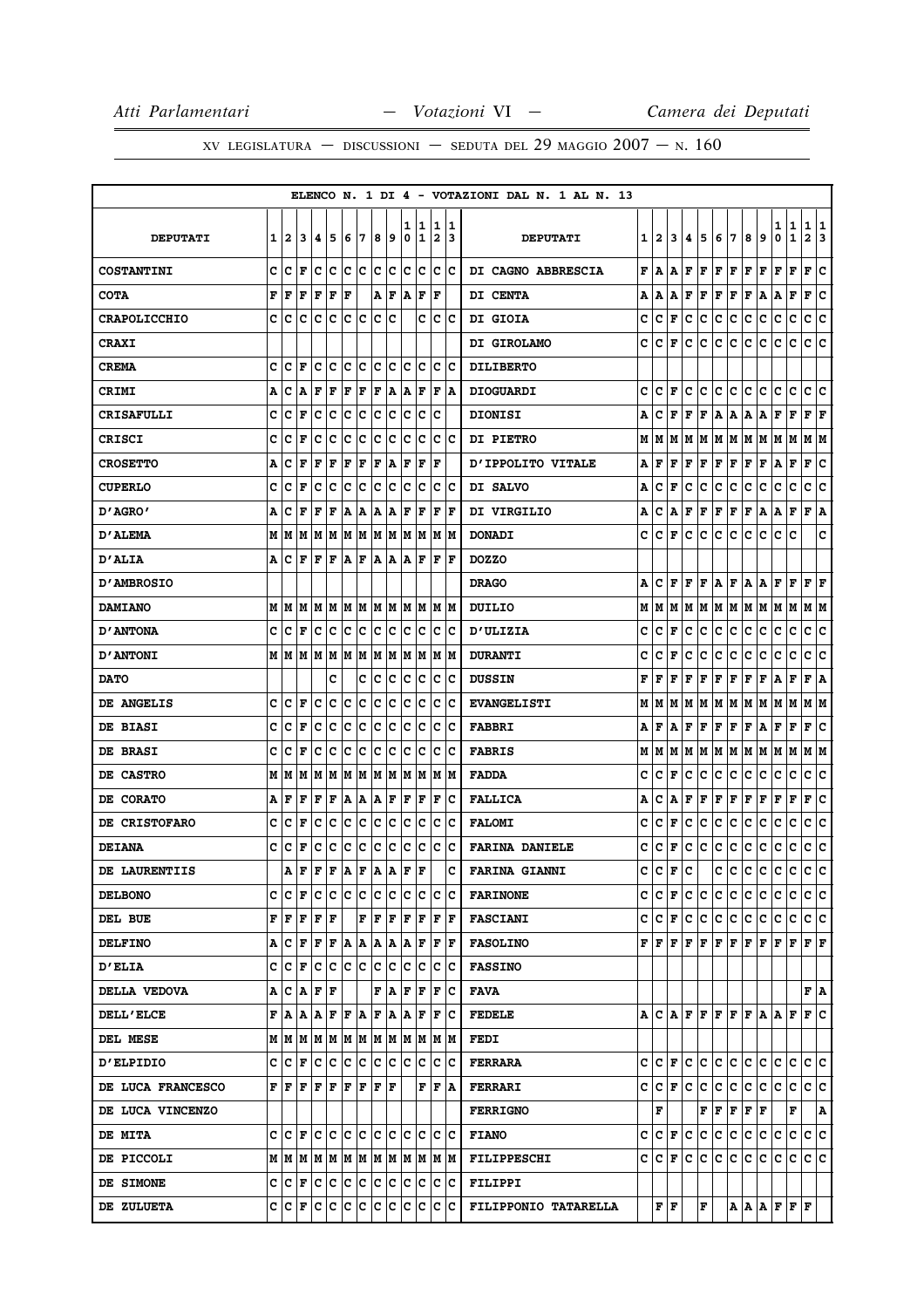# XV LEGISLATURA — DISCUSSIONI — SEDUTA DEL 29 MAGGIO  $2007 - N. 160$

|                     |   |         |                                                        |      |         |       |             |       |       |        |                   |                              |                      | ELENCO N. 1 DI 4 - VOTAZIONI DAL N. 1 AL N. 13 |    |       |                   |         |     |             |                     |      |     |                                                       |                   |                                                                                                                                                                            |
|---------------------|---|---------|--------------------------------------------------------|------|---------|-------|-------------|-------|-------|--------|-------------------|------------------------------|----------------------|------------------------------------------------|----|-------|-------------------|---------|-----|-------------|---------------------|------|-----|-------------------------------------------------------|-------------------|----------------------------------------------------------------------------------------------------------------------------------------------------------------------------|
| <b>DEPUTATI</b>     | 1 | 2       | 3                                                      | 14.  | 5       | 6     | 17          | 8     | 9     | ı<br>0 | 1<br>$\mathbf{1}$ | 1<br>$\overline{\mathbf{2}}$ | 11.<br>13            | <b>DEPUTATI</b>                                | 11 | 2     | 3                 | 4.      | 5   | 6           | 7                   | 8    | 9   | 1<br>0                                                | 1<br>$\mathbf{1}$ | 1<br>1<br>$\mathbf{2}$<br>13                                                                                                                                               |
| <b>COSTANTINI</b>   | c | c       | l F                                                    | Iс   | Iс      | lc.   | c           | lc.   | c     | c      | Iс                | c                            | Ιc                   | DI CAGNO ABBRESCIA                             | F  | A     | A                 | F       | F   | F           | F                   | F    | F   | F                                                     | F                 | c<br>F                                                                                                                                                                     |
| <b>COTA</b>         | F | F       | F                                                      | F    | F       | F     |             | A     | F     | A      | ΙF                | $\mathbf F$                  |                      | <b>DI CENTA</b>                                | А  | A     | Α                 | F       | F   | F           | F                   | F    | Α   | Α                                                     | F                 | F<br>c                                                                                                                                                                     |
| <b>CRAPOLICCHIO</b> | c | lc      | c                                                      | Ιc   | Ιc      | Ιc    | lc.         | c     | Iс    |        | C                 | c                            | ΙC                   | DI GIOIA                                       | c  | c     | F                 | c       | c   | c           | c                   | с    | c   | с                                                     | c                 | c<br>١c                                                                                                                                                                    |
| <b>CRAXI</b>        |   |         |                                                        |      |         |       |             |       |       |        |                   |                              |                      | <b>DI GIROLAMO</b>                             | c  | c     | F                 | с       | lc. | c           | c                   | c    | c   | c                                                     | c                 | c<br>١c                                                                                                                                                                    |
| <b>CREMA</b>        | c | Iс      | ΙF                                                     | Iс   | Ιc      | Ιc    | Iс          | c     | Iс    | c      | Ιc                | с                            | ΙC                   | <b>DILIBERTO</b>                               |    |       |                   |         |     |             |                     |      |     |                                                       |                   |                                                                                                                                                                            |
| <b>CRIMI</b>        | А | с       | A                                                      | l F  | F       | F     | F           | F A   |       |        | A F               | F                            | ١A                   | <b>DIOGUARDI</b>                               | c  | C     | F                 | c       | c   | с           | c                   | c    | c   | c                                                     | c                 | c<br>Iс                                                                                                                                                                    |
| <b>CRISAFULLI</b>   | c | с       | F                                                      | с    | c       | Ιc    | c           | c     | с     | c      | c                 | c                            |                      | <b>DIONISI</b>                                 | Α  | c     | F                 | F       | F   | A           | A                   | A    | A   | F                                                     | F                 | F<br>F                                                                                                                                                                     |
| CRISCI              | c | Iс      | l F                                                    | Iс   | c       | c     | c           | c     | c     | c      | c                 | с                            | ΙC                   | <b>DI PIETRO</b>                               | М  | M     | M                 | м       | M   | M           | M                   | M    | M   | M                                                     | M                 | M  M                                                                                                                                                                       |
| <b>CROSETTO</b>     | Α | c       | l F                                                    | F    | F       | F     | F           | F     | A     | ΙF     | F                 | $\mathbf F$                  |                      | <b>D'IPPOLITO VITALE</b>                       | А  | F     | F                 | F       | F   | $\mathbf F$ | F                   | Г    | F   | Α                                                     | F                 | ١c<br>F                                                                                                                                                                    |
| <b>CUPERLO</b>      | c | Iс      | ΙF                                                     | с    | Iс      | Ιc    | Iс          | c     | с     | c      | Ιc                | с                            | ΙC                   | DI SALVO                                       | Α  | c     | F                 | c       | с   | c           | c                   | c    | c   | с                                                     | с                 | c<br>Ιc                                                                                                                                                                    |
| 0'AGRO'             | A | c       | ΙF                                                     | F    | F       | A     | A           | A     | A     | F      | F                 | F                            | l F                  | <b>DI VIRGILIO</b>                             | А  | c     | A                 | F       | F   | F           | F                   | F    | A   | A                                                     | F                 | F A                                                                                                                                                                        |
| <b>D'ALEMA</b>      |   | MIM     | M                                                      | MMMM |         |       |             | M  M  |       | lм     | lМ                | lм                           | IМ                   | <b>DONADI</b>                                  | c  | c     | F                 | c       | c   | c           | c                   | с    | c   | с                                                     | c                 | c                                                                                                                                                                          |
| <b>D'ALIA</b>       |   |         | A C F F F A F A A A F                                  |      |         |       |             |       |       |        |                   | F                            | lF                   | <b>DOZZO</b>                                   |    |       |                   |         |     |             |                     |      |     |                                                       |                   |                                                                                                                                                                            |
| <b>D'AMBROSIO</b>   |   |         |                                                        |      |         |       |             |       |       |        |                   |                              |                      | <b>DRAGO</b>                                   | А  | c     | F                 | F       | F   | A           | F                   | A    | A   | F                                                     | F                 | F<br>F                                                                                                                                                                     |
| <b>DAMIANO</b>      |   |         | MMM                                                    | MM   |         |       | M M         | M M   |       |        | M  M              |                              | IM IM                | DUILIO                                         | М  | M     | M                 | М       | M   | M   M       |                     | M  M |     | M                                                     | M                 | M  M                                                                                                                                                                       |
| <b>D'ANTONA</b>     | c | lc      | F                                                      | Ιc   | Ιc      | c     | c           | Ιc    | Ιc    | c      | Ιc                | c                            | Ιc                   | <b>D'ULIZIA</b>                                | c  | c     | F                 | c       | с   | c           | c                   | с    | c   | c                                                     | $\mathbf C$       | c<br> c                                                                                                                                                                    |
| <b>D'ANTONI</b>     |   |         | MMMM                                                   |      | M  M  M |       |             | M  M  |       | lМ     | lМ                |                              | IM IM                | <b>DURANTI</b>                                 | c  | c     | F                 | c       | с   | с           | с                   | с    | c   | с                                                     | с                 | с<br>c                                                                                                                                                                     |
| <b>DATO</b>         |   |         |                                                        |      | c       |       | c           | Iс    | Iс    | Iс     | Iс                | Iс                           | Ιc                   | <b>DUSSIN</b>                                  | F  | F     | F                 | F       | F   | F           | F                   | F    | F   | Α                                                     | F                 | F<br>١A                                                                                                                                                                    |
| DE ANGELIS          | c | ١c      | l F                                                    | Iс   | Iс      | c     | c           | c     | c     | c      | Ιc                | с                            | ΙC                   | <b>EVANGELISTI</b>                             | м  | M     | M                 | м       | M   | M           | M                   | M    | M   | M                                                     | M                 | M  M                                                                                                                                                                       |
| DE BIASI            | c | C       | F                                                      | Iс   | Iс      | Ιc    | Iс          | c     | c     | c      | Ιc                | с                            | ΙC                   | <b>FABBRI</b>                                  | A  | F     | A                 | F       | F   | F           | F                   | F    | A   | F                                                     | F                 | F<br>Ιc                                                                                                                                                                    |
| DE BRASI            | C | c       | F                                                      | c    | c       | c     | c           | c     | c     | c      | c                 | c                            | Iс                   | <b>FABRIS</b>                                  | М  | М     | M                 | М       | M   | M           | M                   | M    | M   | M                                                     | M                 | M   M                                                                                                                                                                      |
| DE CASTRO           |   | MM      | lМ                                                     | M    | M       |       | M M         | M M   |       |        | M  M              |                              | M  M                 | <b>FADDA</b>                                   | c  | c     | F                 | c       | с   | c           | c                   | с    | c   | c                                                     | c                 | c<br>С                                                                                                                                                                     |
| DE CORATO           | А | l F     | l F                                                    | F    | F       | A   A |             | A     | F     | F      | F                 | F                            | Ιc                   | <b>FALLICA</b>                                 | Α  | c     | А                 | F       | F   | F           | F                   | F    | F   | F                                                     | F                 | ١c<br>F                                                                                                                                                                    |
| DE CRISTOFARO       | c | C       | F                                                      | с    | Iс      | Ιc    | Iс          | c     | с     | c      | Ιc                | с                            | ΙC                   | <b>FALOMI</b>                                  | c  | c     | F                 | c       | с   | с           | с                   | с    | c   | с                                                     | с                 | c<br>Ιc                                                                                                                                                                    |
| <b>DEIANA</b>       | c | c       | F                                                      | c    | c       | c     | c           | c     | c     | c      | Iс                | lc.                          | Ιc                   | <b>FARINA DANIELE</b>                          | c  | c     | F                 | c       | с   | c           | c                   | с    | с   | c                                                     | $\mathbf C$       | c<br> c                                                                                                                                                                    |
| DE LAURENTIIS       |   | Α       | F                                                      | F    | F       | ١A    | F           | A     | A     | ΙF     | F                 |                              | c                    | <b>FARINA GIANNI</b>                           | с  | c     | F                 | c       |     | c           | c                   | c    | c   | c                                                     | c                 | lc.<br>c                                                                                                                                                                   |
| <b>DELBONO</b>      |   |         | C  C F  C C  C C  C C                                  |      |         |       |             |       |       |        | c c               |                              | c c                  | <b>FARINONE</b>                                |    | C C F |                   | с       | С   | с           | IC.                 | C    | с   | c                                                     | С                 | c c                                                                                                                                                                        |
| DEL BUE             |   | F F     | F F F                                                  |      |         |       | $\mathbf F$ | F     | F     | F      | ١F                | F                            | ١F                   | <b>FASCIANI</b>                                |    |       | C C F             | c.      | c   | c c         |                     | c.   | c   | c                                                     | С                 | c c                                                                                                                                                                        |
| <b>DELFINO</b>      |   | A  C  F |                                                        | F F  |         |       |             | A A A |       |        | A F               |                              | $ {\bf F}  {\bf F} $ | <b>FASOLINO</b>                                |    |       |                   |         |     |             |                     |      |     |                                                       |                   | ${\bf F}\, \, {\bf F}\, \, {\bf F}\, \, {\bf F}\, \, {\bf F}\, \, {\bf F}\, \, {\bf F}\, \, {\bf F}\, \, {\bf F}\, \, {\bf F}\, \, {\bf F}\, \, {\bf F}\, \, {\bf F}\, \,$ |
| <b>D'ELIA</b>       |   |         | C C F C C C C C C                                      |      |         |       |             |       |       | lc.    | Ιc                | lc.                          | ΙC                   | <b>FASSINO</b>                                 |    |       |                   |         |     |             |                     |      |     |                                                       |                   |                                                                                                                                                                            |
| DELLA VEDOVA        |   |         | A  C  A  F  F                                          |      |         |       |             |       | F   A |        | F F               | F                            | ΙC                   | FAVA                                           |    |       |                   |         |     |             |                     |      |     |                                                       |                   | F A                                                                                                                                                                        |
| <b>DELL'ELCE</b>    |   |         | F A A A F F A                                          |      |         |       |             | F   A |       |        | A F               | F                            | ΙC                   | <b>FEDELE</b>                                  |    |       |                   |         |     |             |                     |      |     |                                                       |                   | ACAFFFFFAAFFC                                                                                                                                                              |
| DEL MESE            |   |         |                                                        |      |         |       |             |       |       |        |                   |                              |                      | <b>FEDI</b>                                    |    |       |                   |         |     |             |                     |      |     |                                                       |                   |                                                                                                                                                                            |
| <b>D'ELPIDIO</b>    |   |         | $ c c _F  c c c c c c c c c$                           |      |         |       |             |       |       |        |                   | IС                           | ΙC                   | <b>FERRARA</b>                                 |    |       |                   |         |     |             | C C F C C C C C C C |      |     |                                                       |                   | c c c c                                                                                                                                                                    |
| DE LUCA FRANCESCO   |   |         | ${\bf F}$ $\bf  F$ $\bf  F$ $\bf  F$ $\bf  F$ $\bf  F$ |      |         |       |             | F F   |       |        | F                 | F                            | ١A                   | <b>FERRARI</b>                                 |    |       | C C F             | lc.     | c   | c.          | c                   | c.   | lc. | c                                                     | c                 | c c                                                                                                                                                                        |
| DE LUCA VINCENZO    |   |         |                                                        |      |         |       |             |       |       |        |                   |                              |                      | <b>FERRIGNO</b>                                |    | F     |                   |         |     |             | F F F F F           |      |     |                                                       | $\mathbf F$       | A                                                                                                                                                                          |
| <b>DE MITA</b>      |   |         |                                                        |      |         |       |             |       |       |        |                   |                              |                      | <b>FIANO</b>                                   | c  |       |                   | C F C   | ∣c. | c c         |                     | c c  |     | lc.                                                   | lc.               | c c                                                                                                                                                                        |
| DE PICCOLI          |   |         |                                                        |      |         |       |             |       |       |        |                   |                              |                      | <b>FILIPPESCHI</b>                             |    |       |                   | C C F C | lc. |             | c c c c             |      |     | lc.                                                   | lc.               | lc lc                                                                                                                                                                      |
| DE SIMONE           |   |         | C C F C C C C C C C C C                                |      |         |       |             |       |       |        |                   |                              | c c                  | <b>FILIPPI</b>                                 |    |       |                   |         |     |             |                     |      |     |                                                       |                   |                                                                                                                                                                            |
| DE ZULUETA          |   |         | C  C  F  C  C  C  C  C  C  C  C                        |      |         |       |             |       |       |        |                   | C                            | ΙC                   | FILIPPONIO TATARELLA                           |    |       | ${\bf F}$ $\bf F$ |         | F   |             |                     |      |     | $ {\bf A}\, {\bf A}\, {\bf F}\, {\bf F}\, {\bf F}\, $ |                   |                                                                                                                                                                            |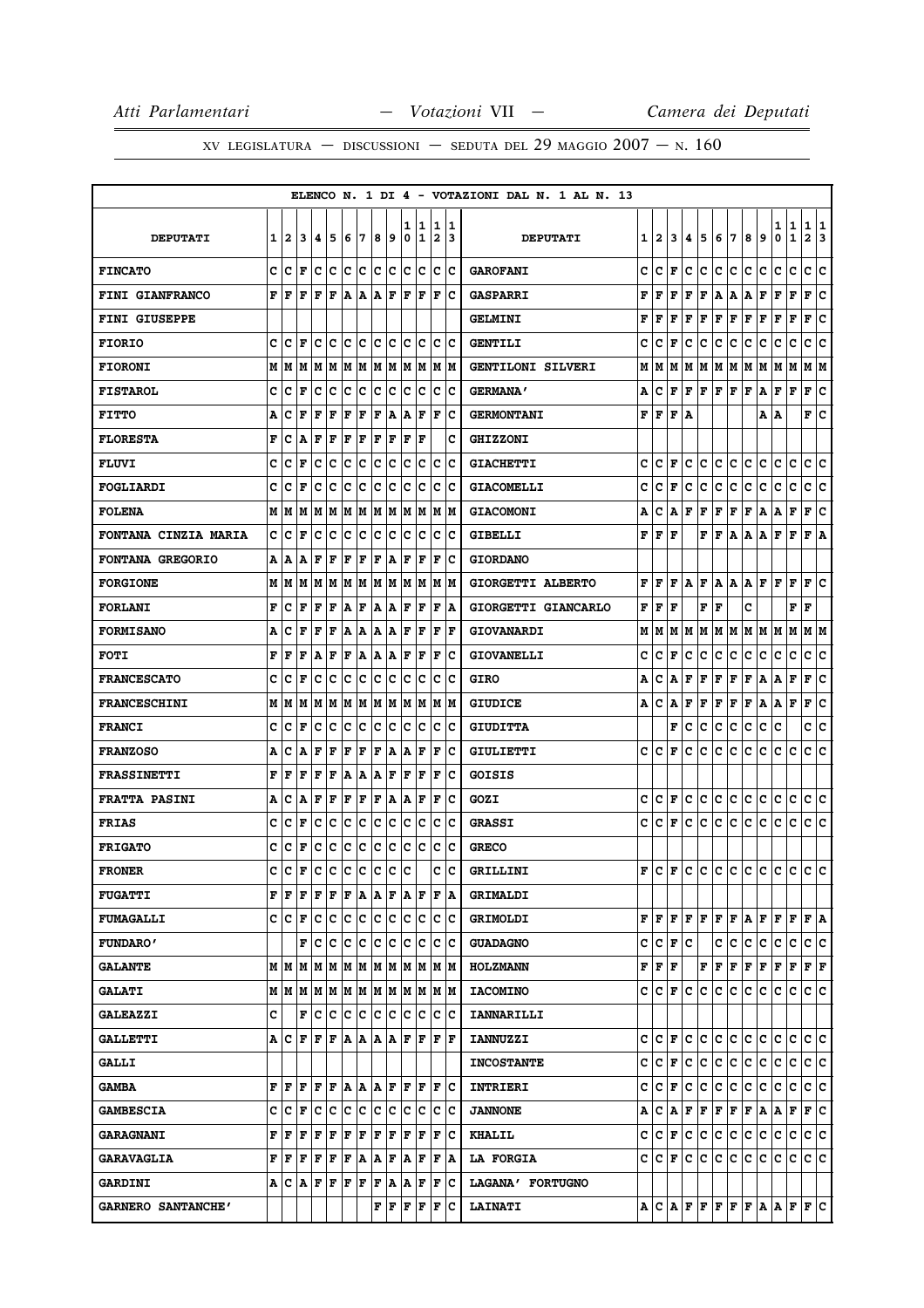|                             |   |              |                                                                 |     |             |       |         |      |      |        |         |                              |          | ELENCO N. 1 DI 4 - VOTAZIONI DAL N. 1 AL N. 13 |   |                                           |                              |     |       |                      |     |             |           |        |                              |                     |     |
|-----------------------------|---|--------------|-----------------------------------------------------------------|-----|-------------|-------|---------|------|------|--------|---------|------------------------------|----------|------------------------------------------------|---|-------------------------------------------|------------------------------|-----|-------|----------------------|-----|-------------|-----------|--------|------------------------------|---------------------|-----|
| <b>DEPUTATI</b>             | 1 | $\mathbf{2}$ | 3                                                               | 14. | 15          | 6     | 17      | 8    | و    | 1<br>0 | 11<br>1 | 1<br>$\overline{\mathbf{2}}$ | 11<br>13 | <b>DEPUTATI</b>                                | 1 | 2                                         | 3                            | 4   | 5     | 6                    | 17  | 8           | 9         | 1<br>0 | 1<br>$\mathbf{1}$            | 1 1<br>$\mathbf{2}$ | 13  |
| <b>FINCATO</b>              |   | c  c         | ١F                                                              | с   | Iс          | c c   |         | c c  |      | lc.    | Iс      | lc.                          | ΙC       | <b>GAROFANI</b>                                | c | с                                         | F                            | c   | lc.   | c                    | lc. | C           | c         | c      | c                            | c c                 |     |
| FINI GIANFRANCO             | F | ١F           | F                                                               | lF. | F A A A F   |       |         |      |      | ١F     | ١F      | ΙF                           | ١c       | <b>GASPARRI</b>                                | F | F                                         | F                            | F   | F     | Α                    | A   | Α           | F         | F      | F                            | F                   | lc. |
| <b>FINI GIUSEPPE</b>        |   |              |                                                                 |     |             |       |         |      |      |        |         |                              |          | <b>GELMINI</b>                                 | F | F                                         | F                            | F   | F     | F                    | F   | $\mathbf F$ | F         | F      | F                            | F                   | c   |
| <b>FIORIO</b>               | c | lc           | F                                                               |     | c c         |       | c c     | c c  |      |        | lc Ic   |                              | lc Ic    | <b>GENTILI</b>                                 | c | c                                         | F                            | c   | с     | с                    | c   | с           | с         | с      | c                            | c                   | lc. |
| <b>FIORONI</b>              |   | MM           | M                                                               | lм  | lм          | M     | M       | lм   | lм   | lм     | M       | M                            | lм       | GENTILONI SILVERI                              | М | М                                         | М                            | м   | M     | M M                  |     | M           | M         | M      | lМ                           | M                   | IМ  |
| <b>FISTAROL</b>             | c | c            | l F                                                             | Iс  | c           | c     | c       | c    | c    | c      | Ιc      | c                            | Ιc       | <b>GERMANA'</b>                                | А | c                                         | F                            | F   | F F F |                      |     | F           | A         | F      | F                            | F                   | c   |
| <b>FITTO</b>                | Α | c            | l F                                                             | F   | l F         | l F   | F       | F    | A    | ١A     | F       | l F                          | Ιc       | <b>GERMONTANI</b>                              | F | F                                         | F                            | A   |       |                      |     |             | Α         | ١A     |                              | F                   | lc. |
| <b>FLORESTA</b>             | F | c            | ١A                                                              | F   | F           | F     | F       | F    | F    | F      | ΙF      |                              | c        | <b>GHIZZONI</b>                                |   |                                           |                              |     |       |                      |     |             |           |        |                              |                     |     |
| <b>FLUVI</b>                | c | с            | l F                                                             | c   | c           | c     | c       | c    | c    | c      | Iс      | c                            | Ιc       | <b>GIACHETTI</b>                               | c | c                                         | F                            | c   | C     | с                    | c   | c           | c         | c      | c                            | c                   | c   |
| FOGLIARDI                   | c | с            | l F                                                             | Iс  | Iс          | Ιc    | c       | c    | c    | c      | c       | с                            | ١c       | <b>GIACOMELLI</b>                              | c | c                                         | F                            | c   | c     | c                    | c   | с           | c         | с      | c                            | c                   | Iс  |
| <b>FOLENA</b>               |   | MM           | M                                                               | M   | M           | M     | M       |      | M  M |        | M  M    |                              | M  M     | <b>GIACOMONI</b>                               | А | с                                         | A                            | F   | F     | F                    | F   | F           | A         | A      | F                            | F                   | ١c  |
| <b>FONTANA CINZIA MARIA</b> | c | c            | F                                                               | Iс  | c           | c     | c       | c    | c    | c      | Ιc      | c                            | Iс       | <b>GIBELLI</b>                                 | F | F                                         | F                            |     | F     | F                    | Α   | Α           | Α         | F      | F                            | F A                 |     |
| <b>FONTANA GREGORIO</b>     |   | A   A        | A                                                               | F   | l F         | F     | F       | ΙF   | A    | ΙF     | F       | F                            | Ιc       | <b>GIORDANO</b>                                |   |                                           |                              |     |       |                      |     |             |           |        |                              |                     |     |
| <b>FORGIONE</b>             |   | MIM          |                                                                 | M M | M           | M     | M       |      | MM   |        | M M     | IM IM                        |          | GIORGETTI ALBERTO                              | F | F                                         | F                            | А   | F     | Α                    | A   | A           | lF.       | F      | F                            | F                   | ١c  |
| <b>FORLANI</b>              | F | Iс           | l F                                                             | F   | F           | A     | F       | A    | A    | F      | F       | F                            | ١A       | GIORGETTI GIANCARLO                            | F | l F                                       | F                            |     | F     | l F                  |     | C           |           |        | F                            | l F                 |     |
| <b>FORMISANO</b>            | Α | c            | ΙF                                                              | lF  | F           | A   A |         | A  A |      | F      | F       | ΙF                           | lF.      | <b>GIOVANARDI</b>                              | М | M                                         | M                            |     | MM    | M M                  |     |             | M   M   M |        | M                            | M  M                |     |
| <b>FOTI</b>                 | F | l F          | ΙF                                                              | ١A  | l F         | F     | A       | A    | A    | ΙF     | F       | F                            | Ιc       | <b>GIOVANELLI</b>                              | c | c                                         | F                            | c   | с     | c                    | c   | с           | c         | с      | c                            | c                   | Ιc  |
| <b>FRANCESCATO</b>          | c | c            | F                                                               | Iс  | Iс          | Ιc    | Iс      | Iс   | Iс   | Iс     | Iс      | c                            | Ιc       | <b>GIRO</b>                                    | А | c                                         | Α                            | F   | F     | F                    | F   | F           | A         | A      | F                            | F                   | lc. |
| <b>FRANCESCHINI</b>         | М | M            | M                                                               | lм  | M           | M     | M       | M    | M    | lм     | M       | M                            | M        | <b>GIUDICE</b>                                 | А | c                                         | Α                            | F   | F     | $\mathbf F$          | F   | F           | Α         | Α      | F                            | F                   | c   |
| <b>FRANCI</b>               | c | ١c           | F                                                               | Iс  | Ιc          | Ιc    | lc.     | Ιc   | Iс   | c      | Ιc      | c                            | Ιc       | <b>GIUDITTA</b>                                |   |                                           | F                            | c   | c     | c                    | c   | c           | с         | с      |                              | c c                 |     |
| <b>FRANZOSO</b>             | Α | c            | ۱A                                                              | F   | F           | F     | F       | F    | A    | A      | ΙF      | F                            | Ιc       | GIULIETTI                                      | c | c                                         | F                            | c   | c     | c                    | c   | с           | c         | c      | c                            | c                   | ١c  |
| <b>FRASSINETTI</b>          | F | F            | F                                                               | F   | l F         | A     | A       | ١A   | F    | F      | F       | F                            | Ιc       | GOISIS                                         |   |                                           |                              |     |       |                      |     |             |           |        |                              |                     |     |
| <b>FRATTA PASINI</b>        | А | c            | A                                                               | F   | F           | F     | F       | F    | ١A   | A      | l F     | l F                          | Ιc       | GOZI                                           | c | c                                         | F                            | c   | lc.   | c                    | c   | c.          | c         | c      | c                            | c                   | ١c  |
| <b>FRIAS</b>                | C | Iс           | ΙF                                                              | с   | Ιc          | Ιc    | Iс      | c    | c    | c      | c       | с                            | Ιc       | <b>GRASSI</b>                                  | c | c                                         | F                            | c   | c     | с                    | c   | c           | c         | c      | c                            | c                   | lc. |
| <b>FRIGATO</b>              | c | Iс           | F                                                               | Iс  | Iс          | c     | c       | c    | c    | c      | Iс      | c                            | Ιc       | <b>GRECO</b>                                   |   |                                           |                              |     |       |                      |     |             |           |        |                              |                     |     |
| <b>FRONER</b>               | c | c            | F                                                               | c   | c           | ∣c    | ∣c      | c    | c    | lc     |         | C                            | c        | GRILLINI                                       | F |                                           |                              |     |       |                      |     |             |           |        |                              |                     |     |
| <b>FUGATTI</b>              |   | F  F         | ١F                                                              | F   | ΙF          |       | F A A F |      |      |        | A F     | F   A                        |          | <b>GRIMALDI</b>                                |   |                                           |                              |     |       |                      |     |             |           |        |                              |                     |     |
| <b>FUMAGALLI</b>            |   | C C F        |                                                                 | Ιc  | ΙC          | c c   |         | c c  |      |        | c  c    |                              | lc Ic    | <b>GRIMOLDI</b>                                |   | FF                                        | F                            | F F |       | $ {\bf F}  {\bf F} $ |     | A F         |           | F      | l F                          | F   A               |     |
| <b>FUNDARO'</b>             |   |              | F                                                               | ١c  | Ιc          | Iс    | ΙC      | Ιc   | Iс   | lc.    | Ιc      | c                            | ١c       | <b>GUADAGNO</b>                                | c |                                           | $ {\bf C}  {\bf F}  {\bf C}$ |     |       | c                    | lc. | c           | lc.       | c      | c                            | c c                 |     |
| <b>GALANTE</b>              |   |              |                                                                 |     |             |       |         |      |      |        |         |                              | M M      | <b>HOLZMANN</b>                                |   | ${\bf F} \,   \, {\bf F} \,   \, {\bf F}$ |                              |     | F     | F F                  |     | F F         |           | F F    |                              | F F                 |     |
| <b>GALATI</b>               |   |              | $M$   $M$   $M$   $M$   $M$   $M$   $M$   $M$   $M$   $M$   $M$ |     |             |       |         |      |      |        |         | IM IM                        |          | <b>IACOMINO</b>                                |   | c  c                                      | F                            | c   | lc.   | c                    | c   | C           | c         | c      | c                            | c c                 |     |
| <b>GALEAZZI</b>             | c |              | F                                                               | c   | Iс          | c c   |         | c c  |      | Ιc     | Ιc      | c                            | Ιc       | <b>IANNARILLI</b>                              |   |                                           |                              |     |       |                      |     |             |           |        |                              |                     |     |
| <b>GALLETTI</b>             |   | A   C        | ١F                                                              | lF. | F           | A     | AAA     |      |      | ΙF     | l F     | l F                          | ١F       | <b>IANNUZZI</b>                                |   | c  c                                      | F                            | c   | c     | c.                   | lc. | c.          | c         | c      | c                            | c c                 |     |
| <b>GALLI</b>                |   |              |                                                                 |     |             |       |         |      |      |        |         |                              |          | <b>INCOSTANTE</b>                              |   | c  c                                      | F                            | c   | c.    | c.                   | c   | c.          | c.        | c      | c                            | c c                 |     |
| <b>GAMBA</b>                |   | F F          | F                                                               |     | F F A A A F |       |         |      |      |        | IF IF   | IF IC                        |          | INTRIERI                                       |   | c Ic                                      | F                            | c   | c     | c                    | c   | c           | c         | c      | c                            | c c                 |     |
| <b>GAMBESCIA</b>            |   | c  c         | F                                                               | Ιc  | Ιc          | lc.   | lc.     | lc.  | Iс   | Iс     | Iс      | c                            | Ιc       | <b>JANNONE</b>                                 | А | с                                         | A                            | F   | F     | F                    | F   | F           | A         | Α      | F                            | F C                 |     |
| <b>GARAGNANI</b>            | F | F            |                                                                 |     |             |       |         |      |      |        | F F     | F C                          |          | <b>KHALIL</b>                                  | c | $ {\bf C}  {\bf F} $                      |                              | lc. | lc.   | c.                   | lc. | ∣c∙         | lc.       | c      | lc.                          | c c                 |     |
| <b>GARAVAGLIA</b>           |   | F  F         | F                                                               | F   | F           | F     | ١A      | A F  |      | ١A     | l F     | F                            | ١A       | <b>LA FORGIA</b>                               |   | c  c                                      | F                            | с   | IС    | с                    | c   | c           | с         | c      | c                            | c c                 |     |
| <b>GARDINI</b>              |   |              | A C A                                                           | F F |             | F F   |         | F    | A    |        | A F     | F                            | ΙC       | LAGANA' FORTUGNO                               |   |                                           |                              |     |       |                      |     |             |           |        |                              |                     |     |
| GARNERO SANTANCHE'          |   |              |                                                                 |     |             |       |         | F    | F    | F      | F       | F                            | Ιc       | <b>LAINATI</b>                                 |   |                                           |                              |     |       |                      |     |             |           |        | $A  C A F F F F F A A F F C$ |                     |     |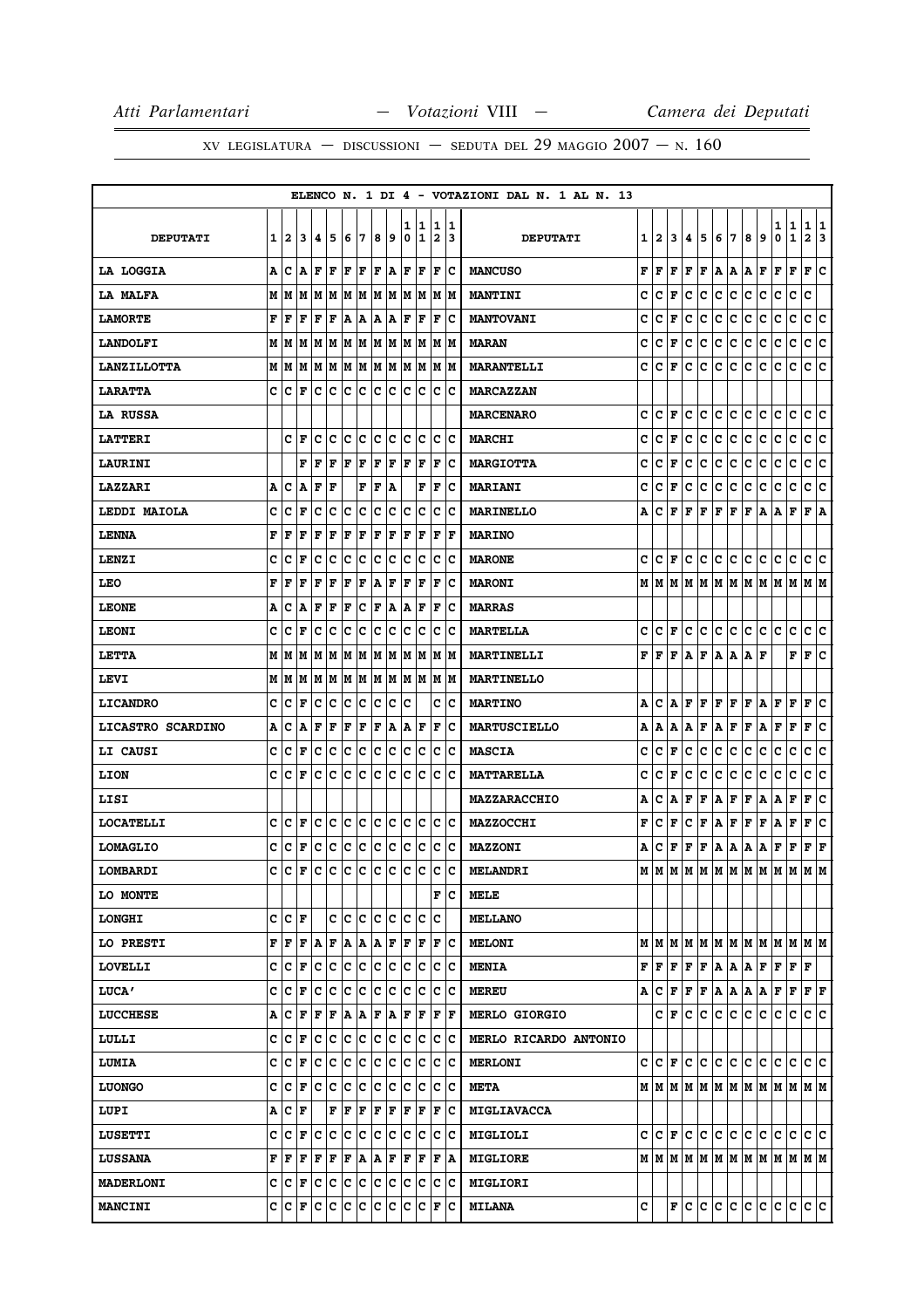|                          |   |       |           |     |                     |     |     |                         |    |        |         |             |          | ELENCO N. 1 DI 4 - VOTAZIONI DAL N. 1 AL N. 13 |   |                      |         |     |                         |                 |            |     |    |                                                                             |              |                      |    |
|--------------------------|---|-------|-----------|-----|---------------------|-----|-----|-------------------------|----|--------|---------|-------------|----------|------------------------------------------------|---|----------------------|---------|-----|-------------------------|-----------------|------------|-----|----|-----------------------------------------------------------------------------|--------------|----------------------|----|
| <b>DEPUTATI</b>          | 1 | 2     | 3         | 4   | 5                   | 6   | 7   | 8                       | و  | ı<br>0 | 11<br>1 | 1<br>2      | 11<br>13 | <b>DEPUTATI</b>                                |   | 1   2                | 3       | 4   | 5                       | 6               | 17         | 8   | 9  | 1   1<br>0                                                                  | $\mathbf{1}$ | 11<br>2              | 3  |
| LA LOGGIA                | A | Ιc    | A         | F   | F                   | lF. | ١F  | $ {\bf F}\>  {\bf A}\>$ |    | l F    | F       | F           | Ιc       | <b>MANCUSO</b>                                 | F | F                    | F       | F   | F                       | A A A F         |            |     |    | F                                                                           | F            | F  C                 |    |
| LA MALFA                 | м | lм    |           |     | MMMMMM              |     |     | M M                     |    | lм     | M       | M           | lМ       | <b>MANTINI</b>                                 | C | c                    | F       | c   | c                       | $\mathtt{C}$    | c          | c   | c  | c                                                                           | c            | C                    |    |
| <b>LAMORTE</b>           | F | F     | F         | F   | F                   | A   | Α   | A                       | A  | F      | F       | ΙF          | Ιc       | <b>MANTOVANI</b>                               | c | c                    | F       | с   | c                       | c               | lc.        | c   | c  | c                                                                           | c            | c                    | c  |
| <b>LANDOLFI</b>          |   | M   M |           |     | M  M  M  M  M       |     |     | M M                     |    | M      | M       |             | M  M     | <b>MARAN</b>                                   | c | c                    | F       | c   | c                       | c               | c          | c   | c  | c                                                                           | c            | c c                  |    |
| <b>LANZILLOTTA</b>       |   | MM    |           |     | M  M  M  M  M  M  M |     |     |                         |    | M      | M       | M           | M        | <b>MARANTELLI</b>                              | c | c                    | F       | с   | c                       | c               | lc.        | c   | c  | lc.                                                                         | c            | C C                  |    |
| <b>LARATTA</b>           | c | ΙC    | F         | c c |                     | Ιc  | ΙC  | c                       | c  | c      | c       | c           | Ιc       | <b>MARCAZZAN</b>                               |   |                      |         |     |                         |                 |            |     |    |                                                                             |              |                      |    |
| <b>LA RUSSA</b>          |   |       |           |     |                     |     |     |                         |    |        |         |             |          | <b>MARCENARO</b>                               | c | c                    | F       | с   | c                       | с               | c          | с   | с  | c                                                                           | с            | c                    | c  |
| <b>LATTERI</b>           |   | c     | ١F        | c   | c                   | c   | c   | c                       | c  | c      | c       | c           | Ιc       | <b>MARCHI</b>                                  | c | c                    | F       | c   | c                       | c               | c          | c   | c  | c                                                                           | c            | c c                  |    |
| <b>LAURINI</b>           |   |       | F         | F   | F                   | F   | F   | F                       | F  | l F    | F       | F           | Iс       | <b>MARGIOTTA</b>                               | c | c                    | F       | с   | c                       | с               | c          | c   | c  | c                                                                           | c            | c c                  |    |
| LAZZARI                  | А | c     | ١A        | F   | F                   |     | F   | F                       | A  |        | F       | ΙF          | Ιc       | <b>MARIANI</b>                                 | c | c                    | F       | c   | c                       | c               | c          | c   | c  | c                                                                           | $\mathbf C$  | c                    | c  |
| LEDDI MAIOLA             | c | c     | F         | c   | c                   | c   | c   | c                       | c  | c      | lc.     | c           | Iс       | <b>MARINELLO</b>                               | А | c                    | F       | F   | F                       | $\mathbf F$     | F          | F   | A  | A                                                                           | F            | FA                   |    |
| <b>LENNA</b>             | F | l F   | F         | F   | F                   | F   | F   | ΙF                      | F  | l F    | F       | ΙF          | l F      | <b>MARINO</b>                                  |   |                      |         |     |                         |                 |            |     |    |                                                                             |              |                      |    |
| LENZI                    | c | с     | F         | с   | c                   | c   | c   | c                       | c  | c      | Iс      | c           | Iс       | <b>MARONE</b>                                  | c | $ {\bf C}  {\bf F} $ |         | lc. | IC.                     | c c             |            | c c |    | с                                                                           | c            | c c                  |    |
| LEO                      | F | F     | F         | F   | $\mathbf F$         | ΙF  | F   | ۱A                      | F  | F      | F       | $\mathbf F$ | c        | <b>MARONI</b>                                  |   |                      |         |     |                         |                 |            |     |    |                                                                             |              |                      |    |
| <b>LEONE</b>             | Α | c     | A         | F   | F                   | F   | c   | F                       | ١A | lA.    | F       | F           | Ιc       | <b>MARRAS</b>                                  |   |                      |         |     |                         |                 |            |     |    |                                                                             |              |                      |    |
| <b>LEONI</b>             | c | c     | F         | c   | c                   | Iс  | c   | IС                      | с  | c      | Ιc      | c           | c        | <b>MARTELLA</b>                                | c | с                    | F       | с   | c                       | c               | lc.        | c c |    | с                                                                           | c            | c c                  |    |
| <b>LETTA</b>             | м | lМ    | lМ        | M   | M                   | lМ  | M   | M                       | M  | M      | lМ      | М           | M        | MARTINELLI                                     | F | l F                  | F       | ۱A. | F                       |                 | AAAF       |     |    |                                                                             | F            | F                    | c  |
| LEVI                     |   | MM    |           |     | M   M   M   M       |     |     | M  M                    |    |        | M M     |             | M  M     | <b>MARTINELLO</b>                              |   |                      |         |     |                         |                 |            |     |    |                                                                             |              |                      |    |
| <b>LICANDRO</b>          | C | C     | l F       | c   | c                   | Ιc  | c   | c                       | с  | c      |         | c           | c        | <b>MARTINO</b>                                 | Α | c                    | ١A.     | F   | F                       | F               | F          | F   | ١A | F                                                                           | ΙF           | F                    | c  |
| <b>LICASTRO SCARDINO</b> | А | IС    | ١A        | F   | F                   | F   | F   | F                       | A  | Α      | F       | F           | Iс       | <b>MARTUSCIELLO</b>                            | A | A                    | A       |     |                         | ${\tt A F A F}$ |            | F A |    | F                                                                           | F            | F C                  |    |
| <b>LI CAUSI</b>          | c | с     | F         | c   | c                   | c   | c   | c                       | c  | c      | c       | c           | c        | <b>MASCIA</b>                                  | c | c                    | F       | с   | c                       | c               | c          | c   | c  | c                                                                           | с            | c                    | c  |
| <b>LION</b>              | C | c     | l F       | c   | lc.                 | lc. | C   | lc.                     | lc | C      | lc.     | c           | c        | <b>MATTARELLA</b>                              | c | c                    | $\bf F$ | c   | c                       | $\mathbf c$     | c          | c   | C  | c                                                                           | c            | c                    | ١c |
| LISI                     |   |       |           |     |                     |     |     |                         |    |        |         |             |          | <b>MAZZARACCHIO</b>                            | Α | c                    | Α       | F   | F                       | A F             |            | Г   | A  | A                                                                           | F            | F                    | c  |
| <b>LOCATELLI</b>         | c | ١c    | l F       | c   | Iс                  | Ιc  | Iс  | lc.                     | Ιc | c      | Iс      | c           | Ιc       | <b>MAZZOCCHI</b>                               | F | c                    | F       | с   | $\mathbf{F}$            | A F             |            | F   | F  | A                                                                           | F            | F                    | c  |
| <b>LOMAGLIO</b>          | с | ١c    | F         | c   | ∣c                  | c   | c   | c                       | c  | c      | c       | IС          | Ιc       | <b>MAZZONI</b>                                 | А | c                    | F       | F   | F                       | A A A F         |            |     |    |                                                                             | F            | $ {\bf F}  {\bf F} $ |    |
| LOMBARDI                 | c | lc    | F         | Iс  | Iс                  | Ιc  | lc. | lc.                     | Iс | lc.    | lc.     | Ιc          | c        | <b>MELANDRI</b>                                |   | MM                   |         |     |                         |                 |            |     |    | MMMMMMMMMMMMM                                                               |              |                      |    |
| LO MONTE                 |   |       |           |     |                     |     |     |                         |    |        |         | F           | Iс       | MELE                                           |   |                      |         |     |                         |                 |            |     |    |                                                                             |              |                      |    |
| <b>LONGHI</b>            | c | c     | l F       |     | c                   | c   | c   | c                       | c  | c      | c       | C           |          | <b>MELLANO</b>                                 |   |                      |         |     |                         |                 |            |     |    |                                                                             |              |                      |    |
| LO PRESTI                | F | F     | F         | A   | F                   | A   | A   | A                       | F  | ΙF     | F       | $\mathbf F$ | Ιc       | <b>MELONI</b>                                  |   |                      |         |     |                         |                 |            |     |    |                                                                             |              |                      |    |
| LOVELLI                  | с | c     | F         | c   | c                   | c   | ∣c  | c                       | c  | Iс     | c       | c           | Ιc       | <b>MENIA</b>                                   | F | F                    | F       | F   | F                       | A A A F         |            |     |    | F F                                                                         |              | F                    |    |
| <b>LUCA'</b>             | c | ١c    | l F       | с   | c                   | c   | c   | c                       | c  | c      | lc.     | c           | c        | <b>MEREU</b>                                   | Α | с                    | F       | F   | F                       |                 | a  a  a  a |     |    | F                                                                           | F            | F F                  |    |
| <b>LUCCHESE</b>          | А | c     | F         | F   | ΙF                  | A   | ١A  | F                       | ١A | F      | F       | F           | F        | <b>MERLO GIORGIO</b>                           |   |                      | C F     |     | c c                     |                 |            |     |    | $ {\mathbf c}\, {\mathbf c}\, {\mathbf c}\, {\mathbf c}\, {\mathbf c}\, $ c |              | c c                  |    |
| LULLI                    | c | Ιc    | F         | c   | c                   | c   | c   | c                       | с  | c      | Iс      | c           | Iс       | MERLO RICARDO ANTONIO                          |   |                      |         |     |                         |                 |            |     |    |                                                                             |              |                      |    |
| <b>LUMIA</b>             | c | c     | F         | c   | c                   | c   | c   | c                       | c  | c      | c       | c           | c        | <b>MERLONI</b>                                 |   | C C F C C            |         |     |                         |                 | c c c c    |     |    | c c                                                                         |              | c c                  |    |
| <b>LUONGO</b>            | C | c     | F         | c   | c                   | c   | c   | c                       | c  | c      | lc.     | c           | Ιc       | <b>META</b>                                    |   |                      |         |     |                         |                 |            |     |    |                                                                             |              |                      |    |
| LUPI                     | А | Ιc    | F         |     | F                   | F   | F   | F                       | F  | F      | F       | F           | Iс       | <b>MIGLIAVACCA</b>                             |   |                      |         |     |                         |                 |            |     |    |                                                                             |              |                      |    |
| <b>LUSETTI</b>           | c | c     | F         | Iс  | c                   | c   | ∣c  | c                       | ∣c | lc.    | IС      | c           | Ιc       | <b>MIGLIOLI</b>                                |   | C C F                |         |     | $ {\tt c}\, {\tt c}\, $ |                 |            |     |    | $ {\mathbf c}\, {\mathbf c}\, {\mathbf c}\, {\mathbf c}\, {\mathbf c}\, $ c |              | lc Ic                |    |
| <b>LUSSANA</b>           | F | l F   | F         | F   | F                   | F   | A   | A                       | F  | F      | F       | F           | A        | <b>MIGLIORE</b>                                |   |                      |         |     |                         |                 |            |     |    | $M$   $M$   $M$   $M$   $M$   $M$   $M$   $M$   $M$   $M$   $M$   $M$       |              |                      |    |
| <b>MADERLONI</b>         |   |       | C C F C C |     |                     | c c |     | c c                     |    | c      | c       | c           | ΙC       | <b>MIGLIORI</b>                                |   |                      |         |     |                         |                 |            |     |    |                                                                             |              |                      |    |
| <b>MANCINI</b>           |   | c c   | F         | Iс  | c                   | c   | c   | c                       | IС | IС     | IC.     | F           | Iс       | <b>MILANA</b>                                  | c |                      |         |     | F C C                   |                 |            |     |    | $ {\tt c}\, {\tt c}\, {\tt c}\, {\tt c}\, {\tt c}\, $                       |              | c c                  |    |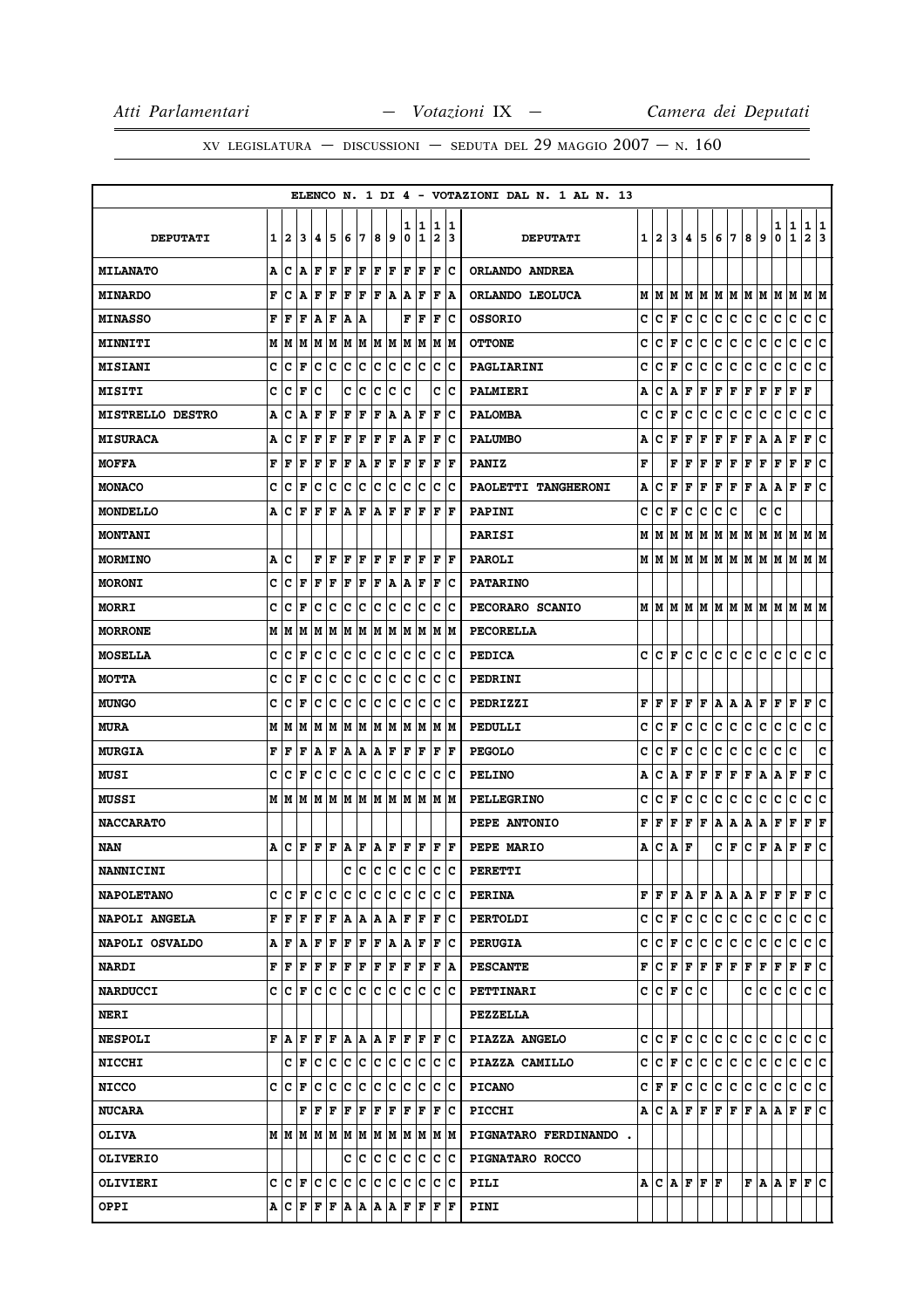|                         |     |         |                                       |                           |                                                                |     |         |     |         |        |        |                                                                                                                                                   |           | ELENCO N. 1 DI 4 - VOTAZIONI DAL N. 1 AL N. 13 |     |       |         |     |                                                               |     |     |     |                                                                             |         |                          |                     |         |
|-------------------------|-----|---------|---------------------------------------|---------------------------|----------------------------------------------------------------|-----|---------|-----|---------|--------|--------|---------------------------------------------------------------------------------------------------------------------------------------------------|-----------|------------------------------------------------|-----|-------|---------|-----|---------------------------------------------------------------|-----|-----|-----|-----------------------------------------------------------------------------|---------|--------------------------|---------------------|---------|
| <b>DEPUTATI</b>         | 1   | 2       | 3                                     | 14                        | 5                                                              | 6   | 17      | 8   | 9       | ı<br>0 | 1<br>1 | 1<br>$\overline{\mathbf{2}}$                                                                                                                      | 11.<br>13 | <b>DEPUTATI</b>                                |     | 1   2 | 3       | 4   | 5                                                             | 6   | 17  | 8   | 9                                                                           | 1<br>0  | 1<br>$\mathbf{1}$        | 1<br>$\overline{a}$ | 1<br>13 |
| <b>MILANATO</b>         | A   | C       | ١A                                    | l F                       | F                                                              | F   | F       | F   | F       | F      | F      | F                                                                                                                                                 | Ιc        | ORLANDO ANDREA                                 |     |       |         |     |                                                               |     |     |     |                                                                             |         |                          |                     |         |
| <b>MINARDO</b>          | F   | c       | A                                     | F                         | l F                                                            | ΙF  | l F     | l F | A       | A      | ΙF     | F                                                                                                                                                 | A         | ORLANDO LEOLUCA                                | М   | M     | M       | м   | M                                                             | M   | lм  | M   | lм                                                                          | M       | M                        | M  M                |         |
| <b>MINASSO</b>          | F   | l F     | F                                     | A                         | F                                                              | A   | ١A      |     |         | F      | F      | F                                                                                                                                                 | Ιc        | <b>OSSORIO</b>                                 | c   | c     | F       | c   | c                                                             | c   | c   | c   | c                                                                           | с       | $\mathbf C$              | c                   | lc.     |
| <b>MINNITI</b>          |     |         |                                       |                           |                                                                |     |         |     |         |        |        |                                                                                                                                                   | M M       | <b>OTTONE</b>                                  | c   | c     | F       | c   | c                                                             | c   | c   | c   | c                                                                           | с       | $\mathbf C$              | c                   | lc.     |
| <b>MISIANI</b>          | c   | Iс      | F                                     | с                         | Ιc                                                             | Ιc  | c       | Ιc  | c       | Iс     | Iс     | c                                                                                                                                                 | Ιc        | PAGLIARINI                                     | c   | c     | F       | c   | c                                                             | c   | c   | с   | c                                                                           | c       | c                        | c                   | c       |
| <b>MISITI</b>           | c   | Ιc      | F                                     | Ιc                        |                                                                | c   | ∣c      | Iс  | Iс      | Ιc     |        | c                                                                                                                                                 | ΙC        | <b>PALMIERI</b>                                | А   | c     | A       | F   | F                                                             | F   | F   | F   | F                                                                           | F       | F                        | F                   |         |
| <b>MISTRELLO DESTRO</b> | A   | c       | A                                     | F                         | F                                                              | F   | F       | F   | A       | Α      | F      | F                                                                                                                                                 | IС        | <b>PALOMBA</b>                                 | c   | c     | F       | c   | с                                                             | с   | с   | с   | c                                                                           | с       | c                        | с                   | c       |
| <b>MISURACA</b>         | А   | Iс      | F                                     | F                         | F                                                              | F   | F       | F   | F       | A      | F      | F                                                                                                                                                 | Ιc        | <b>PALUMBO</b>                                 | А   | c     | F       | F   | F                                                             | F   | F   | Г   | A                                                                           | A       | F                        | F                   | c       |
| <b>MOFFA</b>            | F   | l F     | l F                                   | lF                        | F                                                              | F   | A       | F   | F       | F      | F      | F                                                                                                                                                 | l F       | <b>PANIZ</b>                                   | F   |       | F       | F   | F                                                             | F   | F   | F   | F                                                                           | F       | $\vert \mathbf{F} \vert$ | F                   | c       |
| <b>MONACO</b>           | c   | C       | F                                     | Iс                        | Iс                                                             | Ιc  | Iс      | Iс  | Iс      | c      | Ιc     | с                                                                                                                                                 | ١c        | PAOLETTI TANGHERONI                            | А   | c     | F       | F   | F                                                             | F   | F   | F   | A                                                                           | Α       | F                        | F                   | ١c      |
| MONDELLO                | А   | c       | l F                                   | F                         | ΙF                                                             | ١A  | F       | A   | F       | F      | F      | F                                                                                                                                                 | lF.       | <b>PAPINI</b>                                  | c   | c     | F       | c   | c                                                             | c   | c   |     | c                                                                           | c       |                          |                     |         |
| <b>MONTANI</b>          |     |         |                                       |                           |                                                                |     |         |     |         |        |        |                                                                                                                                                   |           | <b>PARISI</b>                                  | М   | M     | M       | М   | M                                                             | M   | M M |     | M                                                                           | м       | M                        | M M                 |         |
| <b>MORMINO</b>          | A C |         |                                       | F                         | ١F                                                             | F   | ١F      | l F | ١F      | lF.    | ١F     | F                                                                                                                                                 | ١F        | <b>PAROLI</b>                                  |     |       |         |     |                                                               |     |     |     |                                                                             |         |                          |                     |         |
| <b>MORONI</b>           | c   | с       | F                                     | F                         | l F                                                            | F   | F       | ΙF  | A       | A      | F      | F                                                                                                                                                 | Ιc        | <b>PATARINO</b>                                |     |       |         |     |                                                               |     |     |     |                                                                             |         |                          |                     |         |
| <b>MORRI</b>            | c   | Iс      | l F                                   | Iс                        | c                                                              | c   | c       | c   | c       | c      | Iс     | c                                                                                                                                                 | Ιc        | PECORARO SCANIO                                |     |       |         |     |                                                               |     |     |     | $M$   $M$   $M$   $M$   $M$   $M$   $M$   $M$   $M$   $M$   $M$   $M$   $M$ |         |                          |                     |         |
| <b>MORRONE</b>          | М   | lМ      | lМ                                    | lм                        | M                                                              |     |         |     | M M M M |        | M  M   |                                                                                                                                                   | IM IM     | PECORELLA                                      |     |       |         |     |                                                               |     |     |     |                                                                             |         |                          |                     |         |
| <b>MOSELLA</b>          | c   | C       | F                                     | Iс                        | Ιc                                                             | Ιc  | ΙC      | Iс  | Iс      | c      | Iс     | c                                                                                                                                                 | Ιc        | <b>PEDICA</b>                                  | c   | lc.   | F       | c   | lc.                                                           | c   | c   | C   | c                                                                           | c       | c                        | C C                 |         |
| <b>MOTTA</b>            | C   | Iс      | ΙF                                    | Iс                        | Iс                                                             | c   | c       | Iс  | IС      | Iс     | Iс     | Iс                                                                                                                                                | Ιc        | PEDRINI                                        |     |       |         |     |                                                               |     |     |     |                                                                             |         |                          |                     |         |
| <b>MUNGO</b>            | c   | с       | l F                                   | Iс                        | Iс                                                             | Ιc  | Iс      | Ιc  | c       | lc.    | Ιc     | с                                                                                                                                                 | ΙC        | PEDRIZZI                                       | F   | F     | F       | F   | F                                                             | Α   | A   | Α   | F                                                                           | F       | F                        | F                   | Iс      |
| <b>MURA</b>             |     | M   M   | M                                     |                           | M   M   M   M                                                  |     |         |     | MM      |        | M  M   |                                                                                                                                                   | M M       | PEDULLI                                        | c   | c     | F       | c   | с                                                             | с   | с   | с   | c                                                                           | с       | c                        | c                   | c       |
| <b>MURGIA</b>           | F   | F       | ΙF                                    | A                         | F                                                              | A   | A       | ١A  | F       | F      | F      | F                                                                                                                                                 | F         | <b>PEGOLO</b>                                  | c   | c     | F       | c   | с                                                             | c   | с   | с   | c                                                                           | с       | c                        |                     | c       |
| MUSI                    | c   | Iс      | F                                     | c                         | c                                                              | c   | c       | c   | c       | c      | Iс     | c                                                                                                                                                 | Ιc        | <b>PELINO</b>                                  | А   | c     | Α       | F   | F                                                             | F   | F   | F   | Α                                                                           | Α       | F                        | F                   | c       |
| <b>MUSSI</b>            |     |         | M   M   M   M   M   M   M   M   M   M |                           |                                                                |     |         |     |         |        |        | lм                                                                                                                                                | lМ        | <b>PELLEGRINO</b>                              | c   | c     | F       | c   | с                                                             | c   | с   | c   | c                                                                           | c       | C                        | c                   | c       |
| <b>NACCARATO</b>        |     |         |                                       |                           |                                                                |     |         |     |         |        |        |                                                                                                                                                   |           | PEPE ANTONIO                                   | F   | F     | F       | F   | F                                                             | Α   | A   | Α   | A                                                                           | F       | F                        | F                   | F       |
| NAN                     | A   | Iс      |                                       |                           | $\bf{F}$ $\bf{F}$ $\bf{F}$ $\bf{A}$ $\bf{F}$ $\bf{A}$ $\bf{F}$ |     |         |     |         | F      | F      | F                                                                                                                                                 | ١F        | PEPE MARIO                                     | Α   | c     | A       | F   |                                                               | c   | F   | c   | F                                                                           | A       | F                        | F                   | lc.     |
| <b>NANNICINI</b>        |     |         |                                       |                           |                                                                | c   | Iс      | c   | c       | lc.    | Ιc     | lc.                                                                                                                                               | Ιc        | PERETTI                                        |     |       |         |     |                                                               |     |     |     |                                                                             |         |                          |                     |         |
| <b>NAPOLETANO</b>       |     |         | C  C  F  C  C  C  C  C  C  C  C       |                           |                                                                |     |         |     |         |        |        |                                                                                                                                                   | c c       | <b>PERINA</b>                                  |     |       |         |     | F F F A F A A                                                 |     |     | A F |                                                                             | $F$ $F$ |                          | F C                 |         |
| NAPOLI ANGELA           |     | F F     |                                       |                           | $\bf  F  F  F A A A A F F$                                     |     |         |     |         |        |        | F                                                                                                                                                 | Ιc        | <b>PERTOLDI</b>                                | c c |       | F       | lc. | c                                                             | lc. | c   | c.  | c                                                                           | c       | С                        | c c                 |         |
| NAPOLI OSVALDO          |     |         | A F A F F                             |                           |                                                                | F F |         |     | F A     |        | A F    |                                                                                                                                                   | F C       | <b>PERUGIA</b>                                 | c   |       | $ C $ F | c   | c                                                             | c   | c   | c.  | c                                                                           | c       | c                        | c c                 |         |
| <b>NARDI</b>            |     | F  F    |                                       |                           |                                                                |     |         |     |         |        | F  F   |                                                                                                                                                   | F   A     | <b>PESCANTE</b>                                | F   |       |         |     | $ {\bf C}\, {\bf F}\, {\bf F}\, {\bf F}\, {\bf F}\, {\bf F} $ |     |     | F F |                                                                             | F       | F                        | F C                 |         |
| <b>NARDUCCI</b>         |     |         | c  c  F  c  c  c  c  c  c             |                           |                                                                |     |         |     |         | lC.    | ΙC     |                                                                                                                                                   | c c       | <b>PETTINARI</b>                               |     |       |         |     | C C F C C                                                     |     |     | c c |                                                                             | lc.     | lc.                      | c c                 |         |
| <b>NERI</b>             |     |         |                                       |                           |                                                                |     |         |     |         |        |        |                                                                                                                                                   |           | <b>PEZZELLA</b>                                |     |       |         |     |                                                               |     |     |     |                                                                             |         |                          |                     |         |
| <b>NESPOLI</b>          |     |         |                                       |                           |                                                                |     |         |     |         |        |        | $\mathbf{F}  \mathbf{A} \mathbf{F} \mathbf{F} \mathbf{F} \mathbf{A} \mathbf{A} \mathbf{A} \mathbf{F} \mathbf{F} \mathbf{F} \mathbf{F} \mathbf{C}$ |           | PIAZZA ANGELO                                  |     |       | C C F   | lc. | IC.                                                           | c c |     | lc. | IC.                                                                         | IС      | С                        | c c                 |         |
| <b>NICCHI</b>           |     |         | C F C C C C C C C C                   |                           |                                                                |     |         |     |         |        |        |                                                                                                                                                   | c c       | PIAZZA CAMILLO                                 |     |       |         |     | c c F c c c c c                                               |     |     | c c |                                                                             | c c     |                          | c c                 |         |
| <b>NICCO</b>            |     | C IC IF |                                       | Ιc                        | Ιc                                                             | c   | ∣c      | lc. | Iс      | lc.    | Iс     | c                                                                                                                                                 | Ιc        | <b>PICANO</b>                                  |     |       | C  F  F | lc. | c.                                                            | c.  | c   | c.  | c                                                                           | c       | c                        | c c                 |         |
| <b>NUCARA</b>           |     |         |                                       | ${\bf F}$ $\bf F$ $\bf F$ |                                                                | F   | F       | F   | F       |        | F  F   | F                                                                                                                                                 | ΙC        | <b>PICCHI</b>                                  |     |       |         |     |                                                               |     |     |     | $A C A F F F F F A A F F C$                                                 |         |                          |                     |         |
| <b>OLIVA</b>            |     |         |                                       |                           |                                                                |     |         |     |         |        |        |                                                                                                                                                   |           | PIGNATARO FERDINANDO.                          |     |       |         |     |                                                               |     |     |     |                                                                             |         |                          |                     |         |
| <b>OLIVERIO</b>         |     |         |                                       |                           |                                                                |     | C C C C |     |         |        | c c    |                                                                                                                                                   | c c       | PIGNATARO ROCCO                                |     |       |         |     |                                                               |     |     |     |                                                                             |         |                          |                     |         |
| OLIVIERI                |     |         |                                       |                           |                                                                |     |         |     |         |        |        |                                                                                                                                                   |           | PILI                                           |     |       |         |     | A C A F F F                                                   |     |     |     | F A A F F C                                                                 |         |                          |                     |         |
| <b>OPPI</b>             |     |         | $A C F F F A A A A F F$               |                           |                                                                |     |         |     |         |        |        | F                                                                                                                                                 | F         | PINI                                           |     |       |         |     |                                                               |     |     |     |                                                                             |         |                          |                     |         |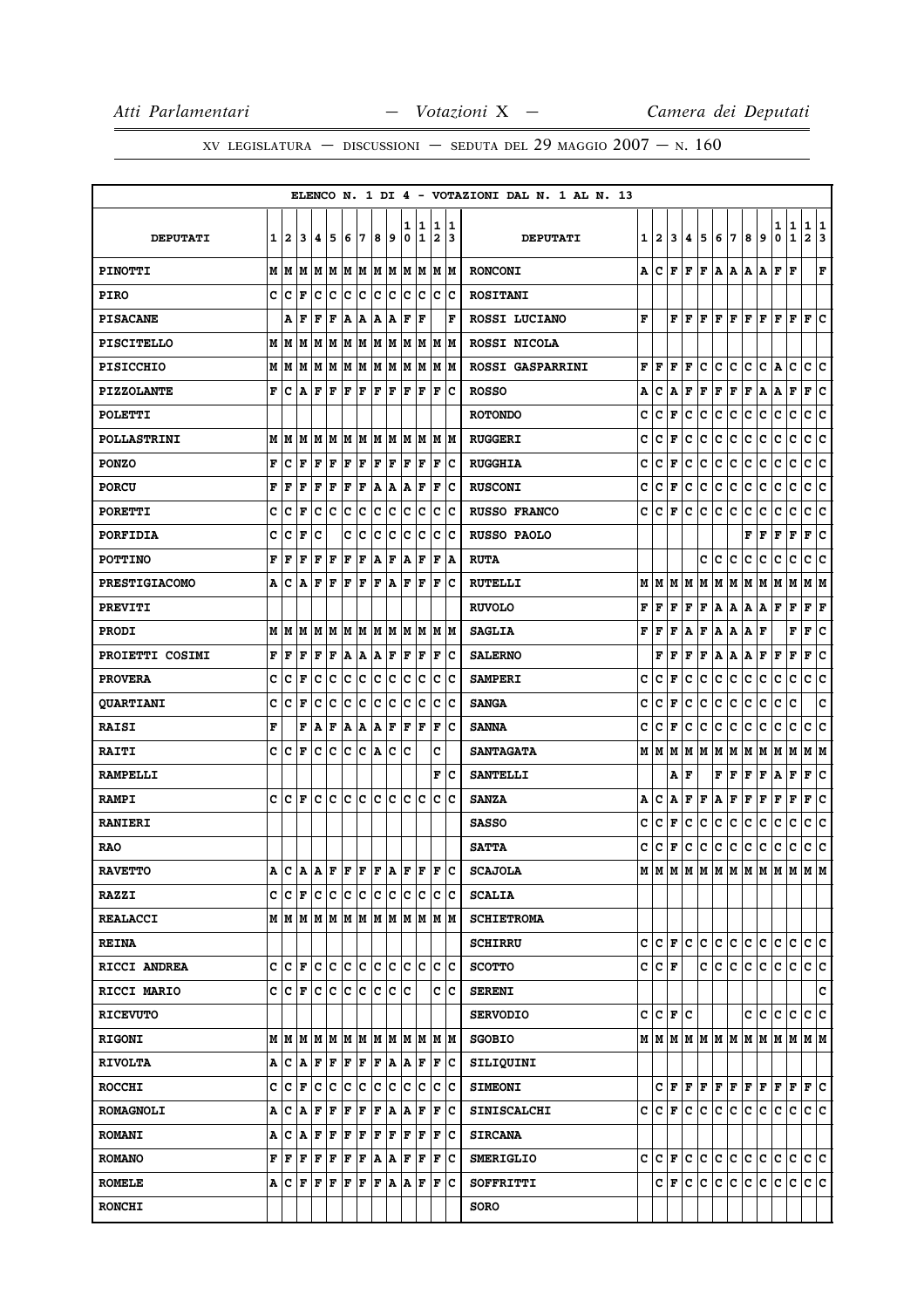|                      |   |          |                                                           |                     |     |      |     |      |     |        |        |                              |        | ELENCO N. 1 DI 4 - VOTAZIONI DAL N. 1 AL N. 13 |   |             |     |           |     |              |                                  |                |     |               |                              |                   |        |
|----------------------|---|----------|-----------------------------------------------------------|---------------------|-----|------|-----|------|-----|--------|--------|------------------------------|--------|------------------------------------------------|---|-------------|-----|-----------|-----|--------------|----------------------------------|----------------|-----|---------------|------------------------------|-------------------|--------|
| <b>DEPUTATI</b>      | 1 | 12       | 13                                                        | 14                  | 5   | 6    | 7   | 8    | 9   | ı<br>0 | 1<br>1 | 1<br>$\overline{\mathbf{2}}$ | 1<br>3 | <b>DEPUTATI</b>                                | 1 | 12.         | 3   | 4         | 5   | 6            | 17                               | 8              | 9   | 1   1<br>0    | $\mathbf{1}$                 | $\mathbf{1}$<br>2 | 1<br>3 |
| <b>PINOTTI</b>       |   |          | $M$   $M$   $M$   $M$   $M$   $M$   $M$   $M$   $M$   $M$ |                     |     |      |     |      |     |        |        |                              | M  M   | <b>RONCONI</b>                                 | А | c           |     |           |     |              | F F F A A A A                    |                |     | F             | ١F                           |                   | F      |
| <b>PIRO</b>          | c | c        | l F                                                       | c                   | c   | c    | c   | c    | c   | c      | c      | c                            | Iс     | <b>ROSITANI</b>                                |   |             |     |           |     |              |                                  |                |     |               |                              |                   |        |
| <b>PISACANE</b>      |   | l A      | ΙF                                                        | F                   | F   | A    | A   | A    | A   | F      | F      |                              | F      | ROSSI LUCIANO                                  | F |             |     | FIF       | F   | F            | F                                | lF.            | l F | F             | l F                          | F                 | ١c     |
| <b>PISCITELLO</b>    |   | MM       |                                                           | M  M  M  M  M  M  M |     |      |     |      |     |        |        | M M M                        | IМ     | ROSSI NICOLA                                   |   |             |     |           |     |              |                                  |                |     |               |                              |                   |        |
| <b>PISICCHIO</b>     |   |          | $M$   $M$   $M$   $M$   $M$   $M$   $M$                   |                     |     |      |     | M  M |     |        | MM     | lМ                           | lМ     | ROSSI GASPARRINI                               | F | F           | F   | F         | lc. | c            | lc.                              | c              |     | $ C $ a $ C $ |                              | C C               |        |
| <b>PIZZOLANTE</b>    | F | Iс       | $ {\bf A} $ ${\bf F}$                                     |                     | F   | F    | F   | F    | F   | F      | F      | F                            | Iс     | <b>ROSSO</b>                                   | А | с           | A   | F         | F   | F            | F                                | F              | A   | A F           |                              | F C               |        |
| <b>POLETTI</b>       |   |          |                                                           |                     |     |      |     |      |     |        |        |                              |        | <b>ROTONDO</b>                                 | c | c           | F   | с         | c   | c            | IC.                              | с              | c   | с             | c                            | C C               |        |
| <b>POLLASTRINI</b>   |   |          | $M$   $M$   $M$   $M$   $M$   $M$   $M$   $M$   $M$   $M$ |                     |     |      |     |      |     |        |        |                              | M  M   | <b>RUGGERI</b>                                 | c | c           | F   | c         | c   | c            | c                                | c              | c   | с             | c                            | c c               |        |
| <b>PONZO</b>         | F | c        | l F                                                       | F                   | F   | F    | F   | F    | F   | l F    | F      | F                            | c      | <b>RUGGHIA</b>                                 | c | c           | F   | с         | c   | с            | c                                | c              | c   | c             | c                            | c                 | c      |
| <b>PORCU</b>         | F | l F      | F                                                         | F                   | F   | F    | F   | A    | A   | Α      | F      | F                            | Ιc     | <b>RUSCONI</b>                                 | c | c           | F   | c.        | c   | $\mathbf{C}$ | c                                | c              | c   | c             | $\mathbf C$                  | $\mathbf{C}$      | lc.    |
| <b>PORETTI</b>       | c | c        | F                                                         | с                   | Iс  | Ιc   | ∣c  | c    | c   | c      | Iс     | c                            | Ιc     | <b>RUSSO FRANCO</b>                            | c | c           | F   | с         | c   | c            | c                                | с              | c   | c             | c                            | c c               |        |
| <b>PORFIDIA</b>      | c | C        | l F                                                       | c                   |     | c    | ١c  | lc.  | Ιc  | c      | lc     | c                            | Ιc     | <b>RUSSO PAOLO</b>                             |   |             |     |           |     |              |                                  | F              | F   | F             | F                            | F                 | lc.    |
| <b>POTTINO</b>       | F | F        | F                                                         | F                   | F   | F    | F   | A    | F   | A      | F      | F                            | A      | <b>RUTA</b>                                    |   |             |     |           | c   | c            | c                                | c              | c   | c             | c                            | c c               |        |
| <b>PRESTIGIACOMO</b> | А | ΙC       | ١A                                                        | F                   | l F | F    | F   | F    | A   | F      | F      | ΙF                           | Ιc     | <b>RUTELLI</b>                                 |   |             |     |           |     |              |                                  |                |     |               | MMMMMMMMMMMMMMM              |                   |        |
| <b>PREVITI</b>       |   |          |                                                           |                     |     |      |     |      |     |        |        |                              |        | <b>RUVOLO</b>                                  | F | F.          | F   | F         |     |              | F   A   A   A   A   F   F        |                |     |               |                              | F F               |        |
| <b>PRODI</b>         | M | M        | M                                                         | M                   | M   | M    | M   | M    | M   | lм     | M      | M                            | M      | <b>SAGLIA</b>                                  | F | F           | F   | A         | F   |              | A   A                            | Α              | F   |               | F                            | $\mathbf{F}$      | c      |
| PROIETTI COSIMI      | F | lF       | l F                                                       | F                   | F   | A    | A   | ١A   | F   | F      | F      | F                            | Ιc     | <b>SALERNO</b>                                 |   | $\mathbf F$ | F   | F         | F   |              | $ {\bf A} $ ${\bf A} $ ${\bf F}$ |                |     | F             | F                            | F                 | c      |
| <b>PROVERA</b>       | c | Ιc       | F                                                         | с                   | c   | c    | c   | IС   | c   | c      | Ιc     | c                            | Ιc     | <b>SAMPERI</b>                                 | c | c           | F   | с         | c   | c            | c                                | c              | c   | С             | с                            | c c               |        |
| <b>QUARTIANI</b>     | c | c        | l F                                                       | c                   | c   | c    | c   | c    | с   | c      | lc.    | c                            | c      | <b>SANGA</b>                                   | c | c           | F   | c         | c   | c            | c                                | c              | c   | c             | C                            |                   | c      |
| <b>RAISI</b>         | F |          | F                                                         | A F                 |     | A  A |     | A    | F   | F      | F      | F                            | Ιc     | <b>SANNA</b>                                   | c | c           | F   | c         | c   | c            | c                                | c              | c   | с             | c                            | c c               |        |
| <b>RAITI</b>         | c | C        | l F                                                       | с                   | c   | Ιc   | c   | A    | c   | c      |        | c                            |        | <b>SANTAGATA</b>                               |   | MM          |     |           |     |              |                                  |                |     |               |                              |                   |        |
| <b>RAMPELLI</b>      |   |          |                                                           |                     |     |      |     |      |     |        |        | F                            | Ιc     | <b>SANTELLI</b>                                |   |             |     | AF        |     |              | $\mathbf{F}   \mathbf{F}$        | F              | ΙF  | AF            |                              | F C               |        |
| <b>RAMPI</b>         | c | Iс       | l F                                                       | c                   | lc. | lc.  | c   | lc.  | lc  | c      | c      | c                            | c      | <b>SANZA</b>                                   | Α | c           | Α   | F         | F   | Α            | F                                | F              | F   | F             | $\mathbf F$                  | F                 | c      |
| <b>RANIERI</b>       |   |          |                                                           |                     |     |      |     |      |     |        |        |                              |        | <b>SASSO</b>                                   | c | c           | F   | c         | c   | $\mathbf{C}$ | c                                | c              | C   | c             | c                            | $\mathbf{C}$      | lc.    |
| <b>RAO</b>           |   |          |                                                           |                     |     |      |     |      |     |        |        |                              |        | <b>SATTA</b>                                   | c | c           | F   | с         | c   | c            | c                                | c              | c   | c             | с                            | C C               |        |
| <b>RAVETTO</b>       | A | ١c       | A A F                                                     |                     |     | F    | F   | F    | ١A  | l F    | F      | ΙF                           | Ιc     | <b>SCAJOLA</b>                                 |   | MM          | M   |           |     |              |                                  |                |     |               | M  M  M  M  M  M  M  M  M  M |                   |        |
| <b>RAZZI</b>         |   |          | C  C F  C C  C C  C C C                                   |                     |     |      |     |      |     |        | lc.    |                              | lc Ic  | <b>SCALIA</b>                                  |   |             |     |           |     |              |                                  |                |     |               |                              |                   |        |
| <b>REALACCI</b>      |   |          |                                                           |                     |     |      |     |      |     |        |        |                              |        | <b>SCHIETROMA</b>                              |   |             |     |           |     |              |                                  |                |     |               |                              |                   |        |
| <b>REINA</b>         |   |          |                                                           |                     |     |      |     |      |     |        |        |                              |        | <b>SCHIRRU</b>                                 |   |             |     | C C F C C |     |              | c c c c                          |                |     | c c           |                              | c c               |        |
| RICCI ANDREA         | c | Iс       | ١F                                                        |                     | c c | c c  |     | c c  |     | lc.    | lc     | lc.                          | Ιc     | <b>SCOTTO</b>                                  |   | C C F       |     |           | c   | c.           | c                                | $ \mathbf{c} $ | c.  | с             | c                            | c c               |        |
| RICCI MARIO          |   | $c c _F$ |                                                           | Iс                  | Iс  | lc.  | ١c  | lc.  | Iс  | lc     |        | c                            | lc     | <b>SERENI</b>                                  |   |             |     |           |     |              |                                  |                |     |               |                              |                   | c      |
| <b>RICEVUTO</b>      |   |          |                                                           |                     |     |      |     |      |     |        |        |                              |        | <b>SERVODIO</b>                                |   | $c c _F c$  |     |           |     |              |                                  |                |     | C C C C       |                              | lc lc             |        |
| <b>RIGONI</b>        |   |          | M   M   M                                                 |                     | M M |      | M M |      | M M | M      | M      |                              | M M    | <b>SGOBIO</b>                                  |   |             |     |           |     |              |                                  |                |     |               |                              |                   |        |
| <b>RIVOLTA</b>       |   |          | A C A                                                     | F F F F             |     |      |     | F A  |     | A      | F      | F                            | Ιc     | SILIQUINI                                      |   |             |     |           |     |              |                                  |                |     |               |                              |                   |        |
| <b>ROCCHI</b>        | c | ١c       | F                                                         | c                   | c   | c    | c   | c    | c   | c      | Iс     | c                            | Iс     | <b>SIMEONI</b>                                 |   |             |     |           |     | C F F F F F  |                                  | F F            |     | F F           |                              | F C               |        |
| <b>ROMAGNOLI</b>     | Α | c        | ١A                                                        | F                   | F   | F    | F   | F    | A   | A      | F      | F                            | Ιc     | <b>SINISCALCHI</b>                             |   |             |     |           |     |              | c c F c c c c c c c c c c c      |                |     |               |                              | lc lc.            |        |
| <b>ROMANI</b>        | Α | ١c       | İΑ                                                        | F                   | F   | F    | F   | F    | F   | F      | F      | F                            | Ιc     | <b>SIRCANA</b>                                 |   |             |     |           |     |              |                                  |                |     |               |                              |                   |        |
| <b>ROMANO</b>        | F | F        | F                                                         | F                   | F   | F    | F   | A    | A   | l F    | F      | F                            | Ιc     | <b>SMERIGLIO</b>                               |   | C C F       |     |           |     |              | c c c c c c c c c                |                |     |               |                              | c c               |        |
| <b>ROMELE</b>        |   |          | A C F F                                                   |                     | F   | F    | F   | F    | ١A  | ١A     | F      | ΙF                           | lc     | SOFFRITTI                                      |   |             | C F |           |     |              | c c c c c c c c c                |                |     |               |                              | c c               |        |
| <b>RONCHI</b>        |   |          |                                                           |                     |     |      |     |      |     |        |        |                              |        | <b>SORO</b>                                    |   |             |     |           |     |              |                                  |                |     |               |                              |                   |        |